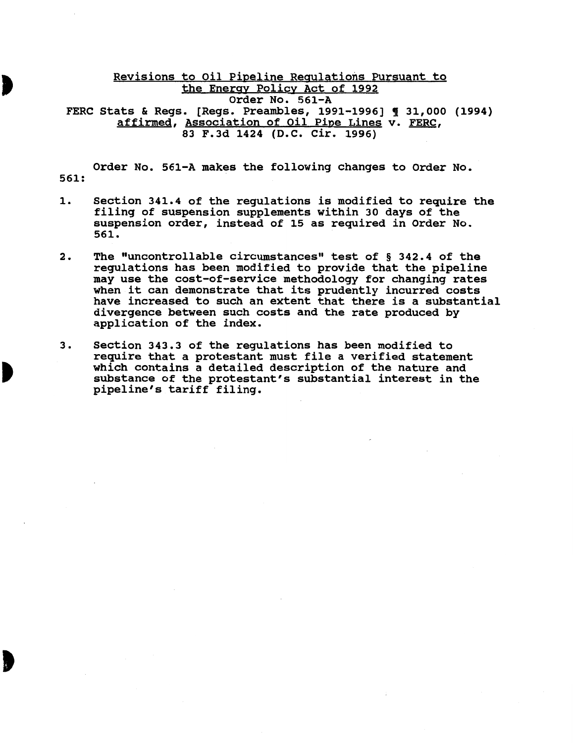## Revisions to Oil Pipeline Regulations Pursuant to the Energy Policy Act of 1992 Order No. 561-A FERC Stats & Regs. [Regs. Preambles, 1991-1996] ¶ 31,000 (1994) affirmed, Association of Oil Pipe Lines v. FERC, 83 F.3d 1424 (D.C. Cir. 1996)

Order No. 561-A makes the following changes to Order No. 561:

- 1. Section 341.4 of the regulations is modified to require the filing of suspension supplements within 30 days of the suspension order, instead of 15 as required in Order No. 561.
- 2. The "uncontrollable circumstances" test of § 342.4 of the regulations has been modified to provide that the pipeline may use the cost-of-service methodology for changing rates when it can demonstrate that its prudently incurred costs have increased to such an extent that there is a substantial divergence between such costs and the rate produced by application of the index.
- 3. Section 343.3 of the regulations has been modified to require that a protestant must file a verified statement which contains a detailed description of the nature and substance of the protestant's substantial interest in the pipeline's tariff filing.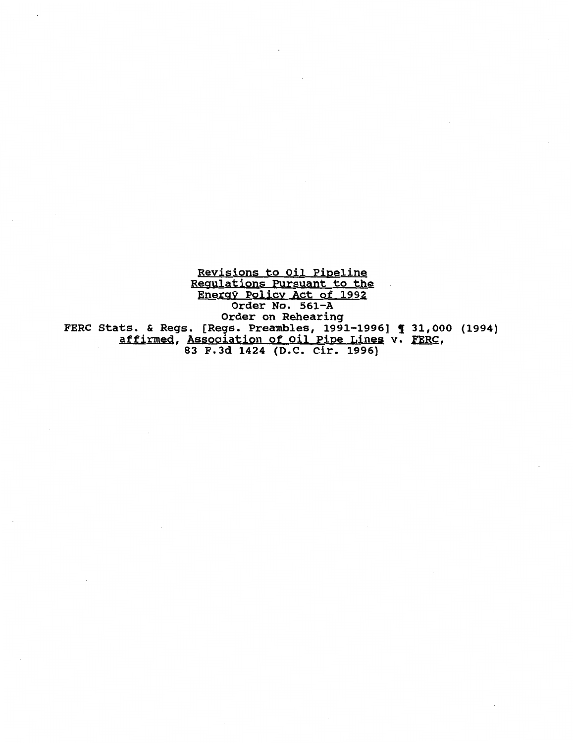Revisions to Oil Pipeline Regulations Pursuant to the Energy Policy Act of 1992 Order No. 561-A Order on Rehearing FERC Stats. & Regs. [Regs. Preambles, 1991-1996] ¶ 31,000 (1994) affirmed, Association of Oil Pipe Lines v. FERC, 83 F.3d 1424 (D.C. Cir. 1996)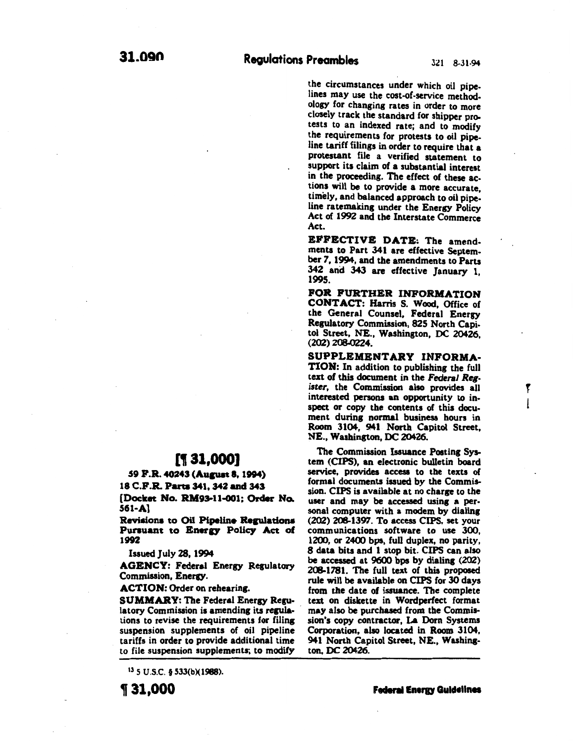the circumstances under which oil pipelines may use the cost-of-service methodology for changing rates in order to more closely track the standard for shipper protests to an indexed rate; and to modify the requirements for protests to oil pipeline tariff filings in order to require that a protestant file a verified statement to support its claim of a substantial interest in the proceeding. The effect of these actions will be to provide a more accurate timely, and balanced approach to oil pipe: line ratemaking under the Energy Policy Act of 1992 and the Interstate Commerce Act.

EFFECTIVE DATE: The amendments to Part 341 are effective September 7, 1994, and the amendments to Parts 342 and 343 are effective January 1, 1995.

FOR FURTHER INFORMATION CONTACT: Harris S. Wood, Office of the General Counsel, Federal Energy Regulatory Commission, 825 North Capitol Street, NE., Washington, DC 20426, (202) 208-0224.

SUPPLEMENTARY INFORMA-TION: In addition to publishing the full text of this document in the *Federal Register,* the Commission also provides all interested persons an opportunity to inspect or copy the contents of this document during normal business hours in Room 3104, 941 North Capitol Street, NE., Washington, DC 20426.

f 1

The Commission Issuance Posting System (CIPS), an electronic bulletin board service, provides access to the texts of formal documents issued by the Commission. CIPS is available at no charge to the user and may be accessed using a personal computer with a modem by dialing (202) 208-1397. To access CIPS, set your communications software to use 300,  $1200$ , or  $2400$  bps, full duplex, no parity, 8 data bits and I stop bit. CIPS can also be accessed at 9600 bps by dialing (202) 208-1781. The full text of this proposed rule will be available on CIPS for 30 days from the date of issuance. The complete text on diskette in Wordperfect format may also be purchased from the Commission's copy contractor, La Dorn Systems Corporation, also located in Room 3104, 941 North Capitol Street, NE., Washington, DC 20426.

# [¶ 31,000]

59 P.R. 40243 (Aupat I, 1994)

18 C.P.R. Parte 341, 342 and 343

[Docket No. RM93-11-001: Order No. 561-Al

Revisions to Oil Pipeline Regulations Pursuant to Energy Policy Act of 1992

Issued July 28, 1994

AGENCY: Federal Energy Regulatory Commission, Energy.

ACTION: Order on rehearing.

SUMMARY: The Federal Energy Regulatory Commission is amending its regulations to revise the requirements for filing suspension supplements of oil pipeline tariffs in order to provide additional time to file suspension supplements; to modify

13 5 u.s.c. § 533(b)(1988).

, 31,000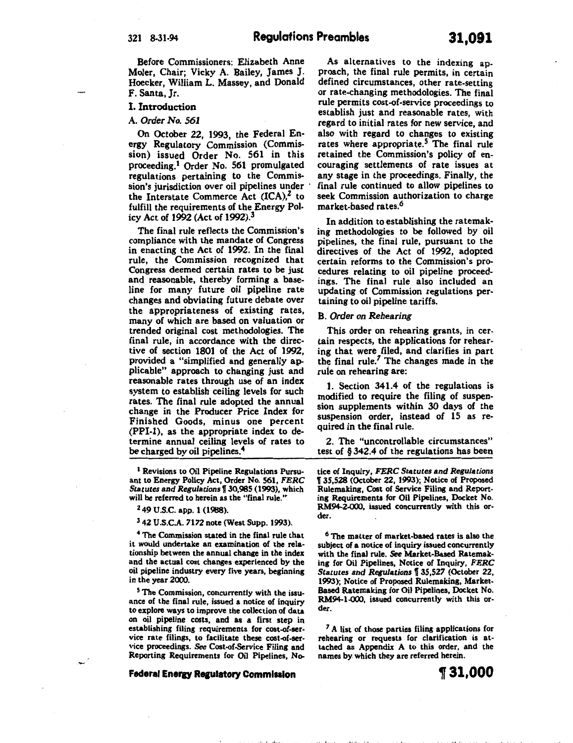Before Commissioners: Elizabeth Anne Moler, Chair; Vicky A. Bailey, James J. Hoecker, William L. Massey, and Donald F. Santa, Jr.

## I. Introduction

## A. *Order No. 561*

On October 22, 1993, the Federal Energy Regulatory Commission (Commission) issued Order No. 561 in this proceeding.<sup>1</sup> Order No. 561 promulgated regulations pertaining to the Commission's jurisdiction over oil pipelines under the Interstate Commerce Act  $(ICA)<sup>2</sup>$  to fulfill the requirements of the Energy Policy Act of 1992 (Act of 1992). 3

The final rule reflects the Commission's compliance with the mandate of Congress in enacting the Act of 1992. In the final rule, the Commission recognized that Congress deemed certain rates to be just and reasonable, thereby forming a baseline for many future oil pipeline rate changes and obviating future debate over the appropriateness of existing rates, many of which are based on valuation or trended original cost methodologies. The final rule, in accordance with the directive of section 1801 of the Act of 1992, provided a "simplified and generally applicable" approach to changing just and reasonable rates through use of an index system to establish ceiling levels for such rates. The final rule adopted the annual change in the Producer Price Index for Finished Goods, minus one percent (PPI-1), as the appropriate index to determine annual ceiling levels of rates to be charged by oil pipelines.<sup>4</sup>

<sup>1</sup> Revisions to Oil Pipeline Regulations Pursuant to Energy Policy Act, Order No. 561, *FERC*  Statutes and Regulations \[ 30,985 (1993), which will be referred to herein as the "final rule."

2 49 U.S.C. app. 1 (1988).

3 42 U.S.C.A. 7172 note (West Supp. 1993).

4 The Commission stated in the final rule that it would undertake an examination of the relationship between the annual change in the index and the actual cost changes experienced by the oil pipeline industry every five years, beginning in the year 2000.

<sup>5</sup> The Commission, concurrently with the issuance of the final rule, issued a notice of inquiry to explore ways to improve the collection of data on oil pipeline costs, and as a first step in establishing filing requirements for cost-of-service rate filings, to facilitate these cost-of-ser· vice proceedings. See Cost-of-Service Filing and Reporting Requirements for Oil Pipelines, No-

**Federal Energy Regulatory Commission** 

As alternatives to the indexing approach, the final rule permits, in certain defined circumstances, other rate-setting or rate-changing methodologies. The final rule permits cost-of-service proceedings to establish just and reasonable rates, with regard to initial rates for new service, and also with regard to changes to existing rates where appropriate.<sup>5</sup> The final rule retained the Commission's policy of encouraging settlements of rate issues at any stage in the proceedings. Finally, the final rule continued to allow pipelines to seek Commission authorization to charge market-based rates.<sup>6</sup>

In addition to establishing the ratemaking methodologies to be followed by oil pipelines, the final rule, pursuant to the directives of the Act of 1992, adopted certain reforms to the Commission's procedures relating to oil pipeline proceedings. The final rule also included an updating of Commission regulations pertaining to oil pipeline tariffs.

#### B. *Order on Rehearing*

This order on rehearing grants, in certain respects, the applications for rehearing that were filed, and clarifies in part the final rule. *7* The changes made in the ruie on rehearing are:

1. Section 341.4 of the regulations is modified to require the filing of suspension supplements within 30 days of the suspension order, instead of 15 as required in the final rule.

2. The "uncontrollable circumstances" test of § 342.4 of the regulations has been

tice of Inquiry, *FERC* Statutes and *Regulations*  1J 35,528 (October 22, 1993); Notice of Proposed Rulemaking, Cost of Service Filing and Reporting Requirements for Oil Pipelines, Docket No. RM94-2-000, issued concurrently with this order.

6 The matter of market-based rates is also the subject of a notice of inquiry issued concurrently with the final rule. See Market-Based Ratemaking for Oil Pipelines, Notice of Inquiry, *FERC*  Statutes and *Regulations* 135,527 (October 22, 1993); Notice of Proposed Rulemaking, Market· Based Ratemaking for Oil Pipelines, Docket No. RM94-1-000, issued concurrently with this order.

<sup>7</sup>A list of those parties filing applications for rehearing or requests for clarification is attached as Appendix A to this order, and the names by. which they are referred herein.

<1-'" I "

**t31,000**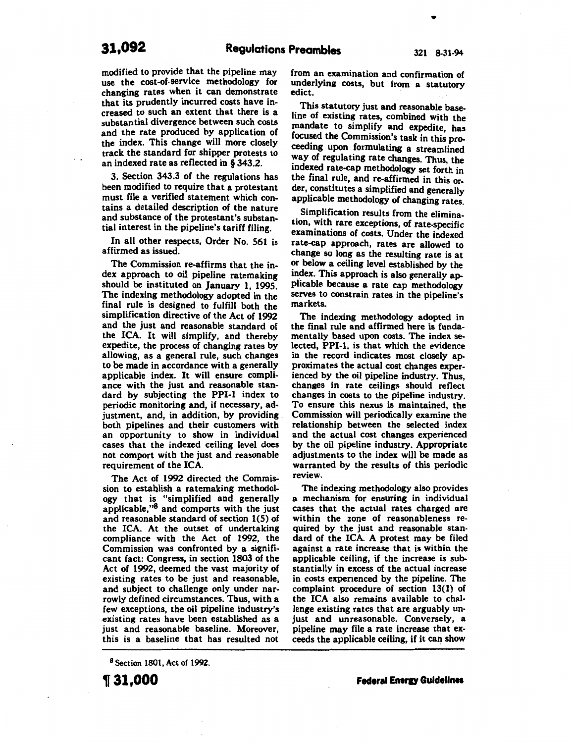modified to provide that the pipeline may use the cost-of-service methodology for changing rates when it can demonstrate that its prudently incurred costs have increased to such an extent that there is a substantial divergence between such costs and the rate produced by application of the index. This change will more closely track the standard for shipper protests to an indexed rate as reflected in § 343.2.

3. Section 343.3 of the regulations has been modified to require that a protestant must file a verified statement which contains a detailed description of the nature and substance of the protestant's substantial interest in the pipeline's tariff filing.

In all other respects, Order No. 561 is affirmed as issued.

The Commission re-affirms that the index approach to oil pipeline ratemaking should be instituted on January 1, 1995. The indexing methodology adopted in the final rule is designed to fulfill both the simplification directive of the Act of 1992 and the just and reasonable standard of the ICA. It will simplify, and thereby expedite, the process of changing rates by allowing, as a general rule, such changes to be made in accordance with a generally applicable index. It will ensure compliance with the just and reasonable standard by subjecting the PPI-1 index to periodic monitoring and, if necessary, adjustment, and, in addition, by providing both pipelines and their customers with an opportunity to show in individual cases that the indexed ceiling level does not comport with the just and reasonable requirement of the ICA.

The Act of 1992 directed the Commission to establish a ratemaking methodology that is "simplified and generally applicable,"8 and comports with the just and reasonable standard of section 1(5) of the ICA. At the outset of undertaking compliance with the Act of 1992, the Commission was confronted by a significant fact: Congress, in section 1803 of the Act of 1992, deemed the vast majority of existing rates to be just and reasonable, and subject to challenge only under narrowly defined circumstances. Thus, with a few exceptions, the oil pipeline industry's existing rates have been established as a just and reasonable baseline. Moreover, this is a baseline that has resulted not

8 Section 1801, Act of 1992.

from an examination and confirmation of underlying costs, but from a statutory edict.

This statutory just and reasonable baseline of existing rates, combined with the mandate to simplify and expedite, has focused the Commission's task in this proceeding upon formulating a streamlined way of regulating rate changes. Thus, the mdexed rate-cap methodology set forth in the final rule, and re-affirmed in this order, constitutes a simplified and generally applicable methodology of changing rates.

Simplification results from the elimination, with rare exceptions, of rate-specific examinations of costs. Under the indexed rate-cap approach, rates are allowed to change so long as the resulting rate is at or below a ceiling level established by the index. This approach is also generally ap. plicable because a rate cap methodology serves to constrain rates in the pipeline's markets.

The indexing methodology adopted in the final rule and affirmed here is fundamentally based upon costs. The index selected, PPI-1, is that which the evidence in the record indicates most closely approximates the actual cost changes experienced by the oil pipeline industry. Thus, changes in rate ceilings should reflect changes in costs to the pipeline industry. To ensure this nexus is maintained, the Commission will periodically examine the relationship between the selected index and the actual cost changes experienced by the oil pipeline industry. Appropriate adjustments to the index will be made as warranted by the results of this periodic review.

The indexing methodology also provides a mechanism for ensuring in individual cases that the actual rates charged are within the zone of reasonableness required by the just and reasonable standard of the ICA. A protest may be filed against a rate increase that is within the applicable ceiling, if the increase is substantially in excess of the actual increase in costs expenenced by the pipeline. The complaint procedure of section 13(1) of the ICA also remains available to challenge existing rates that are arguably unjust and unreasonable. Conversely, a pipeline may file a rate increase that exceeds the applicable ceiling, if it can show

•

**1f 31,000**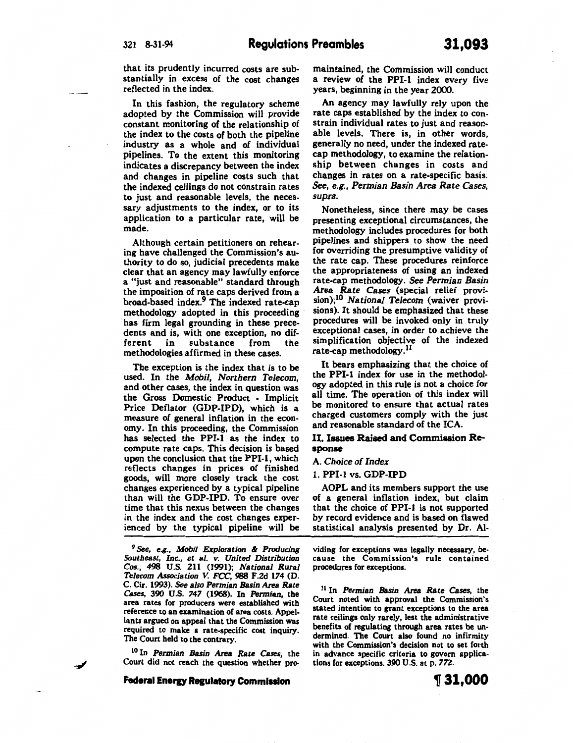that its prudently incurred costs are substantially in excess of the cost changes reflected in the index.

In this fashion, the regulatory scheme adopted by the Commission will provide constant monitoring of the relationship of the index to the costs of both the pipeline industry as a whole and of individual pipelines. To the extent this monitoring indicates a discrepancy between the index and changes in pipeline costs such that the indexed ceilings do not constrain rates to just and reasonable levels, the necessary adjustments to the index, or to its application to a particular rate, will be made.

Although certain petitioners on rehearing have challenged the Commission's authority to do so, judicial precedents make clear that an agency may lawfully enforce a "just and reasonable" standard through the imposition of rate caps derived from a broad-based index.9 The indexed rate-cap methodology adopted in this proceeding has firm legal grounding in these precedents and is, with one exception, no different in substance from the substance methodologies affirmed in these cases.

The exception is the index that is to be used. In the *Mobil, Northern Telecom,*  and other cases, the index in question was the Gross Domestic Product - Implicit Price Deflator (GDP-IPD), which is a measure of general inflation in the economy. In this proceeding, the Commission has selected the PPI-1 as the index to compute rate caps. This decision is based upon the conclusion that the PPI-1, which reflects changes in prices of finished goods, will more closely track the cost changes experienced by a typical pipeline than will the GDP-IPD. To ensure over time that this nexus between the changes in the index and the cost changes experienced by the typical pipeline will be

*<sup>9</sup>*See, *e.g., Mobil Exploration* & *Producing Southeast, Inc., et* al. *v. United Distribution Cos.,* 498 U.S. 211 (1991); *National Rural Telecom Association V. FCC,* 988 F .Zd 174 (D. C. Cir. 1993). *See* also *Permian Basin* Area *Rate*  area rates for producers were established with reference to an examination of area costs. Appellants argued on appeal that the Commission was required to make a rate-specific cost inquiry. The Court held to the contrary.

<sup>10</sup>In Permian *Basin* Area Rate Cases, the Court did not reach the question whether pro-

**Federal Energy Regulatory Commission** 

An agency may lawfully rely upon the rate caps established by the index to constrain individual rates to just and reasonable levels. There is, in other words, generally no need, under the indexed ratecap methodology, to examine the relationship between changes in costs and changes in rates on a rate-specific basis. *see, e.g., Permian Basin Area Rate Cases, supra.* 

years, beginning in the year 2000.

Nonetheless, since there may be cases presenting exceptional circumstances, the methodology includes procedures for both pipelines and shippers to show the need for overriding the presumptive validity of the rate cap. These procedures reinforce the appropriateness of using an indexed rate-cap methodology. *see Permian Basin Area Rate Cases* (special relief provision);10 *National Telecom* (waiver provisions). It should be emphasized that these procedures will be invoked only in truly exceptional cases, in order to achieve the simplification objective of the indexed rate-cap methodology.<sup>11</sup>

It bears emphasizing that the choice of the PPI-1 index for use in the methodology adopted in this rule is not a choice for all time. The operation of this index will be monitored to ensure that actual rates charged customers comply with the just and reasonable standard of the ICA.

## II. Issues Raised and Commission Response

#### A. *Choice of Index*

#### 1. PPI-1 vs. GDP-IPD

AOPL and its members support the use of a general inflation index, but claim that the choice of PPI-1 is not supported by record evidence and is based on flawed statistical analysis presented by Dr. AI-

viding for exceptions was legally necessary, because the Commission's rule contained procedures for exceptions.

llin *Permian Basin* Area Rate Cases, the Court noted with approval the Commission's stated intention to grant exceptions to the area rate ceilings only rarely, lest the administrative benefits of regulating through area rates be undermined. The Court also found no infirmity with the Commission's decision not to set forth in advance specific criteria to govern applications for exceptions. 390 U.S. at p. *772.* 

~31,000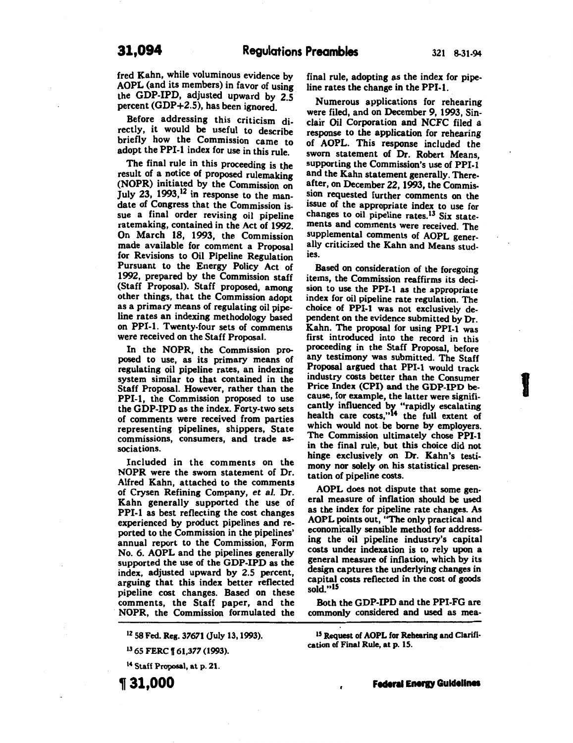fred Kahn, while voluminous evidence by AOPL (and its members) in favor of using the GDP-IPD, adjusted upward by 2.5 percent (GDP+2.5), has been ignored.

Before addressing this criticism directly, it would be useful to describe briefly how the Commission came to adopt the PPI-1 index for use in this rule.

The final rule in this proceeding is the result of a notice of proposed rulemaking (NOPR) initiated by the Commission on July 23, 1993,<sup>12</sup> in response to the mandate of Congress that the Commission issue a final order revising oil pipeline ratemaking, contained in the Act of 1992. On March 18, 1993, the Commission made available for comment a Proposal for Revisions to Oil Pipeline Regulation Pursuant to the Energy Policy Act of 1992, prepared by the Commission staff (Staff Proposal). Staff proposed, among other things, that the Commission adopt as a primary means of regulating oil pipeline rates an indexing methodology based on PPI-1. Twenty-four sets of comments were received on the Staff Proposal.

In the NOPR, the Commission proposed to use, as its primary means of regulating oil pipeline rates, an indexing system similar to that contained in the Staff Proposal. However, rather than the PPI-1, the Commission proposed to use the GDP-IPD as the index. Forty-two sets of comments were received from parties representing pipelines, shippers, State commissions, consumers, and trade associations.

Included in the comments on the NOPR were the sworn statement of Dr. Alfred Kahn, attached to the comments of Crysen Refining Company, *et al.* Dr. Kahn generally supported the use of PPI-1 as best reflecting the cost changes experienced by product pipelines and reported to the Commission in the pipelines' annual report to the Commission, Form No.6. AOPL and the pipelines generally supported the use of the GDP-IPD as the index, adjusted upward by 2.5 percent, arguing that this index better reflected pipeline cost changes. Based on these comments, the Staff paper, and the NOPR, the Commission formulated the

1 2 58 Fed. Reg. *37671* Ouly 13, 1993).

IJ 65 FERC f *61,377* (1993).

14 Staff Proposal, at p. 21.

, **31,000** 

final rule, adopting as the index for pipeline rates the change in the PPI-1.

Numerous applications for rehearing were filed, and on December 9, 1993, Sinclair Oil Corporation and NCFC filed a response to the application for rehearing of AOPL. This response included the sworn statement of Dr. Robert Means, supporting the Commission's use of PPI-1 and the Kahn statement generally. Thereafter, on December 22, 1993, the Commission requested further comments on the issue of the appropriate index to use for changes to oil pipeline rates.<sup>13</sup> Six statements and comments were received. The supplemental comments of AOPL generally criticized the Kahn and Means studies.

Based on consideration of the foregoing items, the Commission reaffirms its decision to use the PPI-1 as the appropriate index for oil pipeline rate regulation. The choice of PPI-1 was not exclusively dependent on the evidence submitted by Dr. Kahn. The proposal for using PPI-1 was first introduced into the record in this proceeding in the Staff Proposal, before any testimony was submitted. The Staff Proposal argued that PPI-1 would track industry costs better than the Consumer Price Index (CPI) and the GDP-IPD because, for example, the latter were significantly influenced by "rapidly escalating health care costs,"14 the full extent of which would not. be borne by employers. The Commission ultimately chose PPI-1 in the final rule, but this choice did not hinge exclusively on Dr. Kahn's testimony nor solely on his statistical presentation of pipeline costs.

**1** 

AOPL does not dispute that some general measure of inflation should be used as the index for pipeline rate changes. As AOPL points out, "The only practical and economically sensible method for addressing the oil pipeline industry's capital costs under indexation is to rely upon a general measure of inflation, which by its design captures the underlying changes in capital costs reflected in the cost of goods sold."15

Both the GDP-IPD and the PPI-FG are commonly considered and used as mea-

<sup>15</sup> Request of AOPL for Rehearing and Clarification of Final Rule, at p. 15.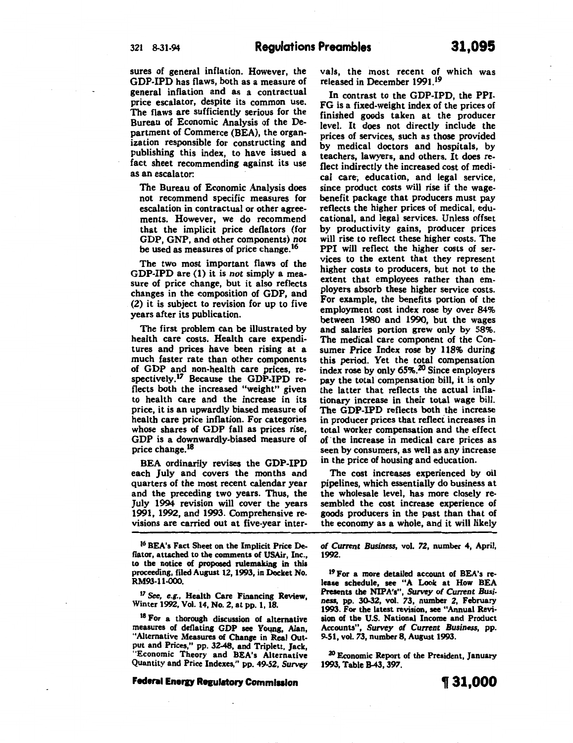sures of general inflation. However, the GDP-IPD has flaws, both as a measure of general inflation and as a contractual price escalator, despite its common use. The flaws are sufficiently serious for the Bureau of Economic Analysis of the Department of Commerce (BEA), the organization responsible for constructing and publishing this index, to have issued a fact sheet recommending against its use as an escalator:

The Bureau of Economic Analysis does not recommend specific measures for escalation in contractual or other agreements. However, we do recommend that the implicit price deflators (for GDP, GNP, and other components) *not*  be used as measures of price change.<sup>16</sup>

The two most important flaws of the GDP-IPD are (1) it is *not* simply a measure of price change, but it also reflects changes in the composition of GDP, and (2) it is subject to revision for up to five years after its publication.

The first problem can be illustrated by health care costs. Health care expenditures and prices have been rising at a much faster rate than other components of GDP and non-health care prices, respectively.17 Because the GDP-IPD reflects both the increased "weight" given to health care and the increase in its price, it is an upwardly biased measure of health care price inflation. For categories whose shares of GDP fall as prices rise, GDP is a downwardly-biased measure of price change.<sup>18</sup>

BEA ordinarily revises the GDP-IPD each July and covers the months and quarters of the most recent calendar year and the preceding two years. Thus, the *]* uly 1994 revision will cover the years 1991, 1992, and 1993. Comprehensive revisions are carried out at five-year inter-

<sup>16</sup> BEA's Fact Sheet on the Implicit Price Deflator, attached to the comments of USAir, Inc. to tbe notice of proposed rulemaking in this proceeding, filed August 12, 1993, in Docket No. RM93-11-000.

<sup>17</sup> See, e.g., Health Care Financing Review Winter 1992, Vol. 14, No.2, at pp. 1, 18.

<sup>18</sup> For a thorough discussion of alternative measures of deflating GDP see Young, Alan, "Alternative Measures of Change in Real Output and Prices," pp. 32-48, and Triplett, Jack, "Economic Theory and BEA's Alternative Quantity and Price Indexes," pp. 49-52, Survey

#### **Federal Energy Regulatory Commission**

vals, the most recent of which was released in December 1991.1<sup>9</sup>

In contrast to the GDP-IPD, the PPI-FG is a fixed-weight index of the prices of finished goods taken at the producer level. It does not directly include the prices of services, such as those provided by medical doctors and hospitals, by teachers, lawyers, and others. It does reflect indirectly the increased cost of medical care, education, and legal service, since product costs will rise if the wagebenefit package that producers must pay reflects the higher prices of medical, educational, and legal services. Unless offset by productivity gains, producer prices will rise to reflect these higher costs. The PPI will reflect the higher costs of services to the extent that they represent higher costs to producers, but not to the extent that employees rather than employers absorb these higher service costs. For example, the benefits portion of the employment cost index rose by over 84% between 1980 and 1990, but the wages and salaries portion grew only by 58%. The medical care component of the Consumer Price Index rose by 118% during this period. Yet the total compensation index rose by only  $65\%$ .<sup>20</sup> Since employers pay the total compensation bill, it is only the latter that reflects the actual inflationary increase in their total wage bill. The GDP-IPD reflects both the increase in producer prices that reflect increases in total worker compensation and the effect of ·the increase in medical care prices as seen by consumers, as well as any increase in the price of housing and education.

The cost increases experienced by oil pipelines, which essentially do business at the wholesale level, has more closely resembled the cost increase experience of goods producers in the past than that of the economy as a whole, and it will likely

*of Current Business,* vol. *72,* number 4, April, 1992.

19 For a more detailed account of BEA's release schedule, see "A Look at How BEA Presents the NIPA's", Survey *of Current Busi*ness, pp. 30-32, vol. 73, number 2, February 1993. For the latest revision, see "Annual Revision of the U.S. National Income and Product Accounts", *Survey of Current Business*, pp. 9-51, vol. 73, number 8, August 1993.

20 Economic Report of the President, January 1993, Table 8-43, 397.

**1f 31,000**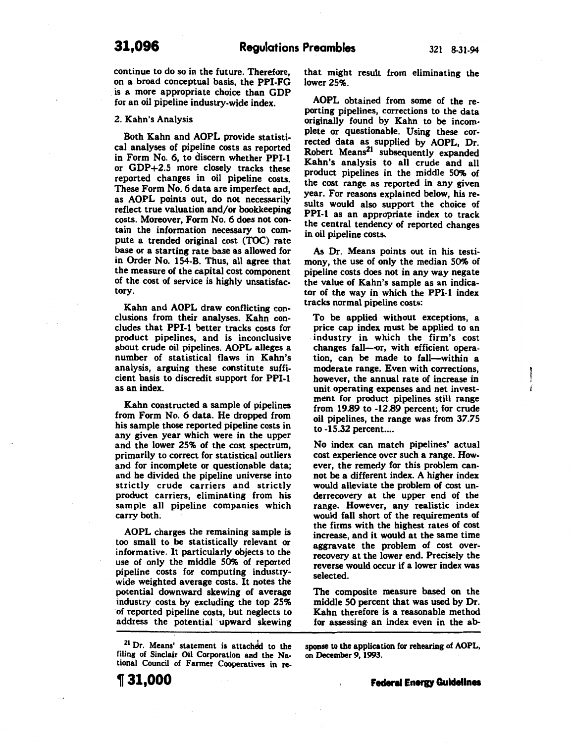## **31,096 Regulations Preambles** 321 8-31-94

continue to do so in the future. Therefore, on a broad conceptual basis, the PPI-FG is a more appropriate choice than GDP for an oil pipeline industry-wide index.

#### 2. Kahn's Analysis

Both Kahn and AOPL provide statistical analyses of pipeline costs as reported in Form No.6, to discern whether PPI-1 or GDP+2.5 more closely tracks these reported changes in oil pipeline costs. These Form No. 6 data are imperfect and, as AOPL points out, do not necessarily reflect true valuation and/or bookkeeping costs. Moreover, Form No.6 does not contain the information necessary to compute a trended original cost (TOC) rate base or a starting rate base as allowed for in Order No. 154-B. Thus, all agree that the measure of the capital cost component of the cost of service is highly unsatisfactory.

Kahn and AOPL draw conflicting conclusions from their analyses. Kahn concludes that PPI-1 better tracks costs for product pipelines, and is inconclusive about crude oil pipelines. AOPL alleges a number of statistical flaws in Kahn's analysis, arguing these constitute sufficient basis to discredit support for PPI-1 as an index.

Kahn constructed a sample of pipelines from Form No.6 data. He dropped from his sample those reported pipeline costs in any given year which were in the upper and the lower 25% of the cost spectrum, primarily to correct for statistical outliers and for incomplete or questionable data; and he divided the pipeline universe into strictly crude carriers and strictly product carriers, eliminating from his sample all pipeline companies which carry both;

AOPL charges the remaining sample is too small to be statistically relevant or informative. It particularly objects to the use of only the middle 50% of reported pipeline costs for computing industrywide weighted average costs. It notes the potential downward skewing of average industry costs. by excluding the top 2S% of reported pipeline costs, but neglects to address the potential upward skewing

<sup>21</sup> Dr. Means' statement is attached to the filing of Sinclair Oil Corporation and the National Council of Farmer Cooperatives in rethat might result from eliminating the lower 2S%.

AOPL obtained from some of the reporting pipelines, corrections to the data originally found by Kahn to be incomplete or questionable. Using these corrected data as supplied by AOPL, Dr. Robert Means<sup>21</sup> subsequently expanded Kahn's analysis to all crude and all product pipelines in the middle SO% of the cost range as reported in any given year. For reasons explained below, his results would also support the choice of PPI-1 as an appropriate index to track the central tendency of reported changes in oil pipeline costs.

As Dr. Means points out in his testimony, the use of only the median SO% of pipeline costs does not in any way negate the value of Kahn's sample as an indicator of the way in which the PPI-1 index tracks normal pipeline costs:

To be applied without exceptions, a price cap index must be applied to an industry in which the firm's cost changes fall-or, with efficient operation, can be made to fall-within a moderate range. Even with corrections, however, the annual rate of increase in unit operating expenses and net investment for product pipelines still range from 19.89 to -12.89 percent; for crude oil pipelines, the range was from *37.7S*  to -15.32 percent....

No index can match pipelines' actual cost experience over such a range. However, the remedy for this problem cannot be a different index. A higher index would alleviate the problem of cost underrecovery at the upper end of the range. However, any realistic index would fall short of the requirements of the firms with the highest rates of cost increase, and it would at the same time aggravate the problem of cost overrecovery at the lower end. Precisely the reverse would occur if a lower index was selected.

The composite measure based on the middle SO percent that was used by Dr. Kahn therefore is a reasonable method for assessing· an index even in the ab-

sponse to the application for rehearing of AOPL, on December 9, 1993.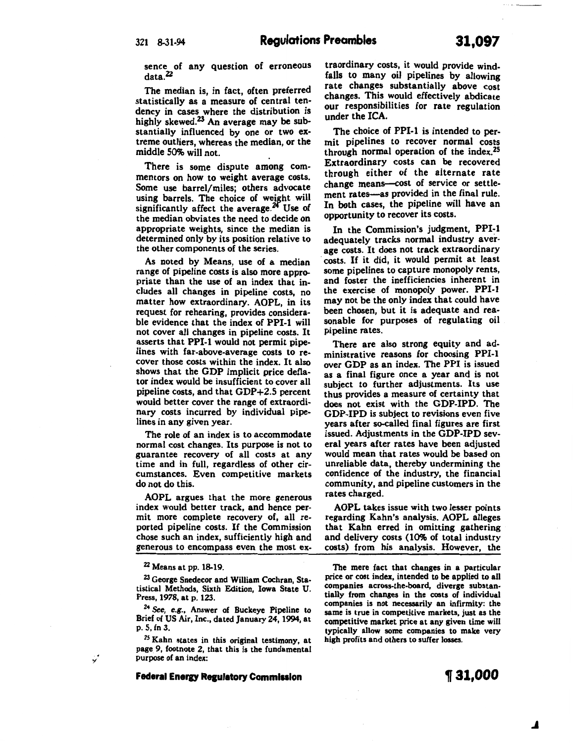sence of any question of erroneous data.<sup>22</sup>

The median is, in fact, often preferred statistically as a measure of central tendency in cases where the distribution is highly skewed.<sup>23</sup> An average may be substantially influenced by one or two extreme outliers, whereas the median, or the middle 50% will not.

There is some dispute among commentors on how to weight average costs. Some use barrel/miles; others advocate using barrels. The choice of weight will significantly affect the average. $24$  Use of the median obviates the need to decide on appropriate weights, since the median is determined only by its position relative to the other components of the series.

As noted by Means, use of a median range of pipeline costs is also more appropriate than the use of an index that includes all changes in pipeline· costs, no matter how extraordinary. AOPL, in its request for rehearing, provides considerable evidence that the index of PPI-1 will not cover all changes in pipeline costs. It asserts that PPI-1 would not permit pipelines with far-above-average costs to recover those costs within the index. It also shows that the GDP implicit price deflator index would be insufficient to cover all pipeline costs, and that GDP+2.5 percent would better cover the range of extraordinary costs incurred by individual pipelines in any given year.

The role of an index is to accommodate normal cost changes. Its purpose is not to guarantee recovery of all costs at any time and in full, regardless of other circumstances. Even competitive markets do not do this.

AOPL argues that the more generous index would better track, and hence permit more complete recovery of, all reported pipeline costs. If the Commission chose such an index, sufficiently high and generous to encompass even the most ex-

 $22$  Means at pp. 18-19.

<sup>23</sup> George Snedecor and William Cochran, Statistical Methods, Sixth Edition, Iowa State U. Press, 1978, at p. 123.

<sup>24</sup>*See,* e.g., Answer of Buckeye Pipeline to Brief of US Air, Inc., dated January 24, 1994, at p. 5, fn 3.

<sup>25</sup> Kahn states in this original testimony, at page 9, footnote 2, that this is the fundamental purpose of an index:

**Federal Energy Regulatory Commission** 

traordinary costs, it would provide windfalls to many oil pipelines by allowing rate changes substantially above cost changes. This would effectively abdicate our responsibilities for rate regulation under the ICA

The choice of PPI-1 is intended to permit pipelines to recover normal costs through normal operation of the index.2s Extraordinary costs can be recovered through either of the alternate rate change means--cost of service or settlement rates-as provided in the final rule. In both cases, the pipeline will have an opportunity to recover its costs.

In the Commission's judgment, PPI-1 adequately tracks normal industry average costs. It does not track extraordinary costs. If it did, it would permit at least some pipelines to capture monopoly rents, and foster the inefficiencies inherent in the exercise of monopoly power. PPI-1 may not be the only index that could have been chosen, but it is adequate and reasonable for purposes of regulating oil pipeline rates.

There are also strong equity and administrative reasons for choosing PPI-1 over GDP as an index. The PPI is issued as a final figure once a year and is not subject to further adjustments. Its use thus provides a measure of certainty that does not exist with the GDP-IPD. The GDP-IPD is subject to revisions even five years after so-called final figures are first issued. Adjustments in the GDP-IPD several years after rates have been adjusted would mean that rates would be based on unreliable data, thereby undermining the confidence of the industry, the financial community, and pipeline customers in the rates charged.

AOPL takes issue with two lesser points regarding Kahn's analysis. AOPL alleges that Kahn erred in omitting gathering and delivery costs (10% of total industry costs) from his analysis. However, the

The mere fact that changes in a particular price or cost index, intended to be applied to all companies across-the-board, diverge substantially from changes in the costs of individual companies is not necessarily an infirmity: the same is true in competitive markets, just as the competitive market price at any given time will typically allow some companies to make very high profits and others to suffer losses.

## **1f 31,000**

**.J** 

J.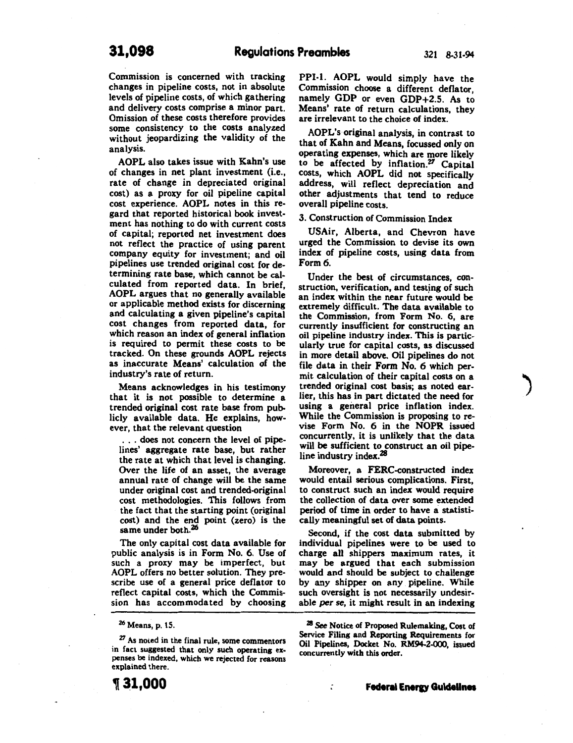Commission is concerned with tracking changes in pipeline costs, not in absolute levels of pipeline costs, of which gathering and delivery costs comprise a minor part. Omission of these costs therefore provides some consistency to the costs analyzed without jeopardizing the validity of the analysis.

AOPL also takes issue with Kahn's use of changes in net plant investment (i.e., rate of change in depreciated original cost) as a proxy for oil pipeline capital cost experience. AOPL notes in this regard that reported historical book investment has nothing to do with current costs of capital; reported net investment does not reflect the practice of using parent company equity for investment; and oil pipelines use trended original cost for determining rate base, which cannot be calculated from reported data. In brief, AOPL argues that no generally available or applicable method exists for discerning and calculating a given pipeline's capital cost changes from reported data, for which reason an index of general inflation is required to permit these costs to be tracked. On these grounds AOPL rejects as inaccurate Means' calculation of the industry's rate of return.

Means acknowledges in his testimony that it is not possible to determine a trended original cost rate base from publicly available data. He explains, however, that the relevant question

. . . does not concern the level of pipelines' aggregate rate base, but rather the rate at which that level is changing. Over the life of an asset, the average annual rate of change will be the same under original cost and trended-original cost methodologies. This follows from the fact that the starting point (original cost) and the end point (zero) is the same under both.<sup>26</sup>

The only capital cost data available for public analysis is in Form No. 6. Use of such a proxy may be imperfect, but AOPL offers no better solution. They prescribe use of a general price deflator to reflect capital costs, which the Commission has accommodated by choosing

 $^{27}$  As noted in the final rule, some commentors<br>in fact suggested that only such operating expenses be indexed, which we rejected for reasons explained there. PPI·l. AOPL would simply have the Commission choose a different deflator, namely GDP or even GDP+2.5. As to Means' rate of return calculations, they are irrelevant to the choice of index.

AOPL's original analysis, in contrast to that of Kahn and Means, focussed only on operating expenses, which are more likely to be affected by inflation.<sup>27</sup> Capital costs, which AOPL did not specifically address, will reflect depreciation and other adjustments that tend to reduce overall pipeline costs.

3. Construction of Commission Index

USAir, Alberta, and Chevron have urged the Commission to devise its own index of pipeline costs, using data from Form6.

Under the best of circumstances, construction, verification, and testing of such an index within the near future would be extremely difficult. The data available to the Commission, from Form No. 6, are currently insufficient for constructing an oil pipeline industry index. This is particularly true for capital costs, as discussed in more detail above. Oil pipelines do not file data in their Form No. 6 which permit calculation of their capital costs on a trended original cost basis; as noted earlier, this has in part dictated the need for using a general price inflation index. While the Commission is proposing to revise Form No. 6 in the NOPR issued concurrently, it is unlikely that the data will be sufficient to construct an oil pipeline industry index.<sup>28</sup>

Moreover, a FERC-constructed index would entail serious complications. First, to construct such an index would require the collection of data over some extended period of time in order to have a statistically meaningful set of data points.

Second, if the cost data submitted by individual pipelines were to be used to charge all shippers maximum rates, it may be argued that each submission would and should be subject to challenge by any shipper on any pipeline. While such oversight is not necessarily undesirable *per se,* it might result in an indexing

<sup>26</sup> Means, p. 15.

<sup>&</sup>lt;sup>28</sup> See Notice of Proposed Rulemaking, Cost of Service Filing and Reporting Requirements for Oil Pipelines, Docket No. RM94-2-000, issued concurrently with this order.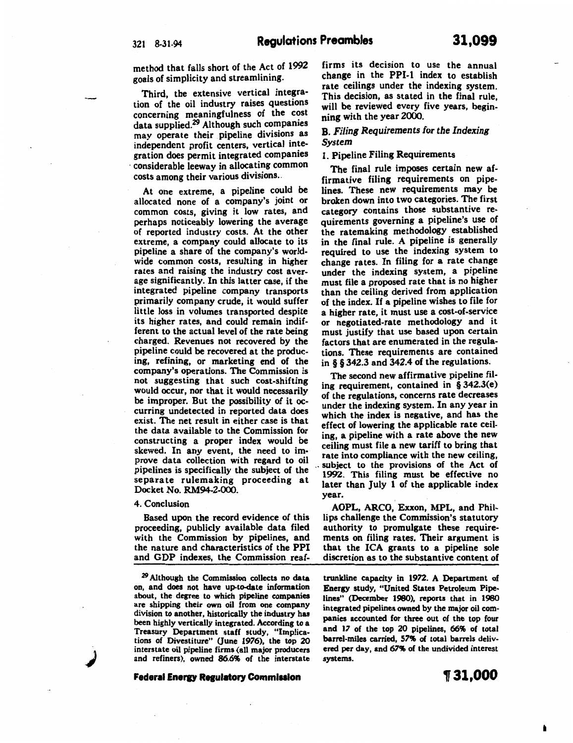method that falls short of the Act of 1992 goals of simplicity and streamlining.

Third, the extensive vertical integra· tion of the oil industry raises questions concerning meaningfulness of the cost data supplied.<sup>29</sup> Although such companies may operate their pipeline divisions as independent profit centers, vertical integration does permit integrated companies considerable leeway in allocating common costs among their various divisions ..

At one extreme, a pipeline could be allocated none of a company's joint or common costs, giving it low rates, and perhaps noticeably lowering the average of reported industry costs. At the other extreme, a company could allocate to its pipeline a share of the company's worldwide common costs, resulting in higher rates and raising the industry cost average significantly. In this latter case, if the integrated pipeline company transports primarily company crude, it would suffer little loss in volumes transported despite its higher rates, and could remain indif· ferent to the actual level of the rate being charged. Revenues not recovered by the pipeline could be recovered at the producing, refining, or marketing end of the company's operations. The Commission is not suggesting that such cost-shifting would occur, nor that it would necessarily be improper. But the possibility of it occurring undetected in reported data does exist. The net result in either case is that the data available to the Commission for constructing a proper index would be skewed. In any event, the need to im· prove data collection with regard to oil pipelines is specifically the subject of the separate rulemaking proceeding at Docket No. RM94-2-000.

#### 4. Conclusion

*.)* 

Based upon the record evidence of this proceeding, publicly available data filed with the Commission by pipelines, and the nature and characteristics of the PPI and GDP indexes, the Commission reaf-

*29* Although the Commission collects no data on, and does not have up-to-date information are shipping their own oil from one company division to another, historically the industry has been highly vertically integrated. According to a Treasury Department staff study, "Implications of Divestiture" (June 1976), the top 20 interstate oil pipeline firms (all major producers and refiners), owned 86.6% of the interstate

**Federal Energy Regulatory Commission** 

firms its decision to use the annual change in the PPI-1 index to establish rate ceilings under the indexing system. This decision, as stated in the final rule, will be reviewed every five years, beginning with the year 2000.

## B. *Filing Requirements for the Indexing System*

## 1. Pipeline Filing Requirements

The final rule imposes certain new affirmative filing requirements on pipelines. These new requirements may be broken down into two categories. The first category contains those substantive requirements governing a pipeline's use of the ratemaking methodology established in the final rule. A pipeline is generally required to use the indexing system to change rates. In filing for a rate change under the indexing system, a pipeline must file a proposed rate that is no higher than the ceiling derived from application of the index. If a pipeline wishes to file for a higher rate, it must use a cost-of-service or negotiated-rate methodology and it must justify that use based upon certain factors that are enumerated in the regulations. These requirements are contained in § § 342.3 and 342.4 of the regulations.

The second new affirmative pipeline fil. ing requirement, contained in § 342.3(e) of the regulations, concerns rate decreases under the indexing system. In any year in which the index is negative, and has the effect of lowering the applicable rate ceiling, a pipeline with a rate above the new ceiling must file a new tariff to bring that rate into compliance with the new ceiling, subject to the provisions of the Act of 1992. This filing must be effective no later than July 1 of the applicable index year.

AOPL, ARCO, Exxon, MPL, and Phillips challenge the Commission's statutory authority to promulgate these requirements on filing rates. Their argument is that the ICA grants to a pipeline sole discretion as to the substantive content of

trunkline capacity in 1972. A Department of Energy study, "United States Petroleum Pipelines" (December 1980), reports that in 1980 integrated pipelines owned by the major oil companies accounted for three out of the top four and 17 of the top 20 pipelines, 66% of total barrel-miles carried, 57% of total barrels delivered per day, and 67% of the undivided interest systems.

**,31,000**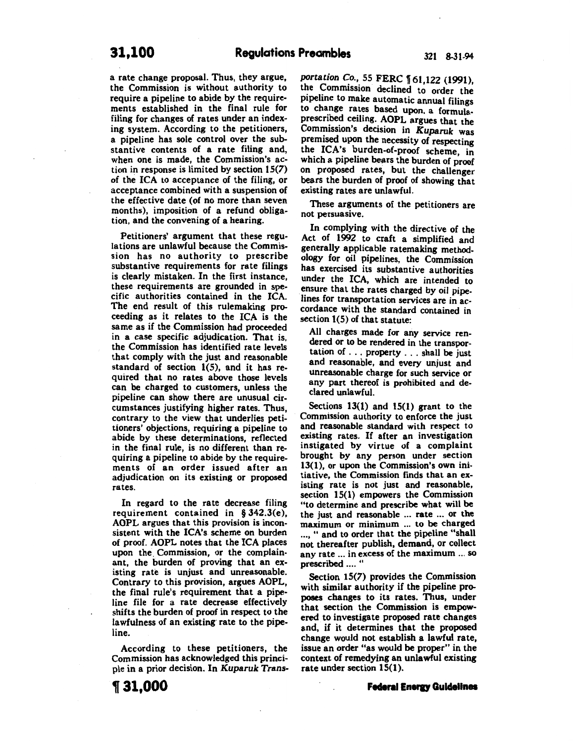a rate change proposal. Thus, they argue, the Commission is without authority to require a pipeline to abide by the requirements established in the final rule for filing for changes of rates under an indexing system. According to the petitioners, a pipeline has sole control over the substantive contents of a rate filing and, when one is made, the Commission's action in response is limited by section 15(7) of the ICA to acceptance of the filing, or acceptance combined with a suspension of the effective date (of no more than seven months), imposition of a refund obligation, and the convening of a hearing.

Petitioners' argument that these regulations are unlawful because the Commission has no authority to prescribe substantive requirements for rate filings is clearly mistaken. In the first instance, these requirements are grounded in specific authorities contained in the ICA. The end result of this rulemaking proceeding as it relates to the ICA is the same as if the Commission had proceeded in a case specific adjudication. That is, the Commission has identified rate levels that comply with the just and reasonable standard of section  $1(5)$ , and it has required that no rates above those levels can be charged to customers, unless the pipeline can show there are unusual circumstances justifying higher rates. Thus, contrary to the view that underlies petitioners' objections, requiring a pipeline to abide by these determinations, reflected in the final rule, is no different than requiring a pipeline to abide by the requirements of an order issued after an adjudication on its existing or proposed rates.

In regard to the rate decrease filing requirement contained in § 342.3(e), AOPL argues that this provision is inconsistent with the ICA's scheme on burden of proof. AOPL notes that the ICA places upon the. Commission, or the complainant, the burden of proving that an existing rate is unjust and unreasonable. Contrary to this provision, argues AOPL, the final rule's requirement that a pipeline file for a rate decrease effectively shifts the burden of proof in respect to the lawfulness of an existing rate to the pipeline.

According to these petitioners, the Commission has acknowledged this principle in a prior decision. In *Kuparuk* Trans*portation Co.*, 55 FERC 161,122 (1991), the Commission declined to order the pipeline to make automatic annual filings to change rates based upon. a formulaprescribed ceiling. AOPL argues that the Commission's decision in *Kuparuk* was premised upon the necessity of respecting the ICA's burden-of-proof scheme, in which a pipeline bears the burden of proof on proposed rates, but the challenger bears the burden of proof of showing that existing rates are unlawful.

These arguments of the petitioners are not persuasive.

In complying with the directive of the Act of 1992 to craft a simplified and generally applicable ratemaking methodology for oil pipelines, the Commission has exercised its substantive authorities under the ICA, which are intended to ensure that the rates charged by oil pipelines for transportation services are in accordance with the standard contained in section 1(5) of that statute:

All charges made for any service rendered or to be rendered in the transportation of ... property ... shall be just and reasonable, and every unjust and unreasonable charge for such service or any part thereof is prohibited and declared unlawful.

Sections  $13(1)$  and  $15(1)$  grant to the Commission authority to enforce the just and reasonable standard with respect to existing rates. If after an investigation instigated by virtue of a complaint brought by any person under section 13(1), or upon the Commission's own initiative, the Commission finds that an existing rate is not just and reasonable, section 15(1) empowers the Commission "to determine and prescribe what will be the just and reasonable ... rate ... or the maximum or minimum ... to be charged ... , " and to order that the pipeline "shall not thereafter publish, demand, or collect any rate ... in excess of the maximum ... so prescribed .... "

Section 15(7) provides the Commission with similar authority if the pipeline proposes changes to its rates. Thus, under that section the Commission is empowered to investigate proposed rate changes and, if it determines that the proposed change would not establish a lawful rate, issue an order "as would be proper" in the context of remedying an unlawful existing rate under section 15(1).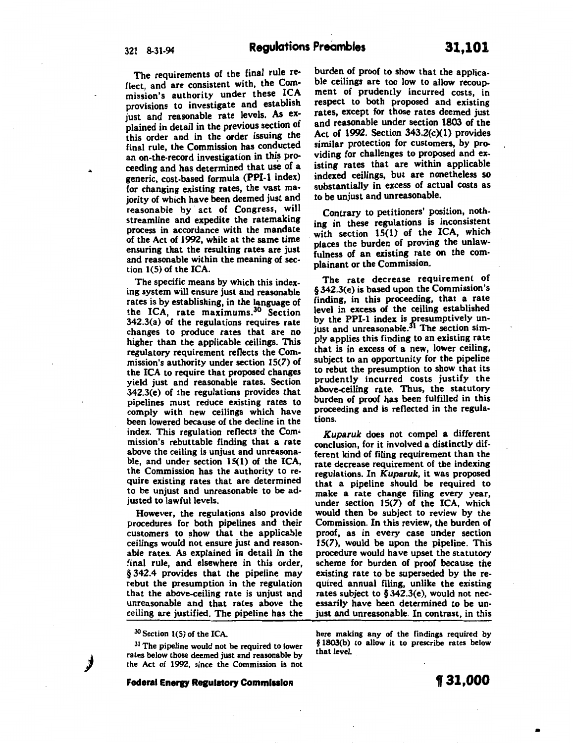The requirements of the final rule reflect, and are consistent with, the Commission's authority under these ICA provisions to investigate and establish just and reasonable rate levels. As explained in detail in the previous section of this order and in the order issuing the final rule, the Commission has conducted an on-the-record investigation in this proceeding and has determined that use of a generic, cost-based formula (PPI-1 index) for changing existing rates, the vast majority of which have been deemed just and reasonable by act of Congress, will streamline and expedite the ratemaking process in accordance with the mandate of the Act of 1992, while at the same time ensuring that the resulting rates are just and reasonable within the meaning of section 1(5) of the ICA.

The specific means by which this indexing system will ensure just and reasonable rates is by establishing, in the language of the ICA, rate maximums.30 Section 342.3(a) of the regulations requires rate changes to produce rates that are no higher than the applicable ceilings. This regulatory requirement reflects the Commission's authority under section 15(7) of the ICA to require that proposed changes yield just and reasonable rates. Section 342.3(e) of the regulations provides that pipelines must reduce existing rates to comply with new ceilings which have been lowered because of the decline in the index. This regulation reflects the Commission's rebuttable finding that a rate above the ceiling is unjust and unreasonable, and under section 15(1} of the ICA, the Commission has the authority to require existing rates that are determined to be unjust and unreasonable to be adjusted to lawful levels.

However, the regulations also provide procedures for both pipelines and their customers to show that the applicable ceilings would not ensure just and reasonable rates. As explained in detail in the final rule, and elsewhere in this order, § 342.4 provides that the pipeline may rebut the presumption in the regulation that the above-ceiling rate is unjust and unreasonable and that rates above the ceiling are justified. The pipeline has the

<sup>30</sup> Section 1(5) of the ICA

**)** 

<sup>31</sup> The pipeline would not be required to lower rates below those deemed just and reasonable by the Act of 1992, since the Commission is not

**Federal Energy Regulatory Commission** 

burden of proof to show that the applicable ceilings are too low to allow recoupment of prudently incurred costs, in respect to both proposed and existing rates, except for those rates deemed just and reasonable under section 1803 of the Act of 1992. Section  $343.2(c)(1)$  provides similar protection for customers, by providing for challenges to proposed and existing rates that are within applicable indexed ceilings, but are nonetheless so substantially in excess of actual costs as to be unjust and unreasonable.

Contrary to petitioners' position, nothing in these regulations is inconsistent with section 15(1) of the ICA, which. places the burden of proving the unlawfulness of an existing rate on the complainant or the Commission.

The rate decrease requirement of § 342.3(e) is based upon the Commission's finding, in this proceeding, that a rate level in excess of the ceiling established by the PPI-1 index is gresumptively unjust and unreasonable.<sup>31</sup> The section simply applies this finding to an existing rate that is in excess of a new, lower ceiling, subject to an opportunity for the pipeline to rebut the presumption to show that its prudently incurred costs justify the above-ceiling rate. Thus, the statutory burden of proof has been fulfilled in this proceeding and is reflected in the regulations.

*Kuparuk* does not compel a different conclusion, for it involved a distinctly different kind of filing requirement than the rate decrease requirement of the indexing regulations. In *Kuparuk,* it was proposed that a pipeline should be required to make a rate change filing every year, under section 15(7) of the ICA, which would then be subject to review by the Commission. In this review, the burden of proof, as in every case under section 15(7), would be upon the pipeline. This procedure would have upset the statutory scheme for burden of proof because the existing rate to be superseded by the required annual filing, unlike the existing rates subject to§ 342.3(e}, would not necessarily have been determined to be unjust and unreasonable. In contrast, in this

here making any of the findings required by § 1803(b) to allow it to prescribe rates below that level.

•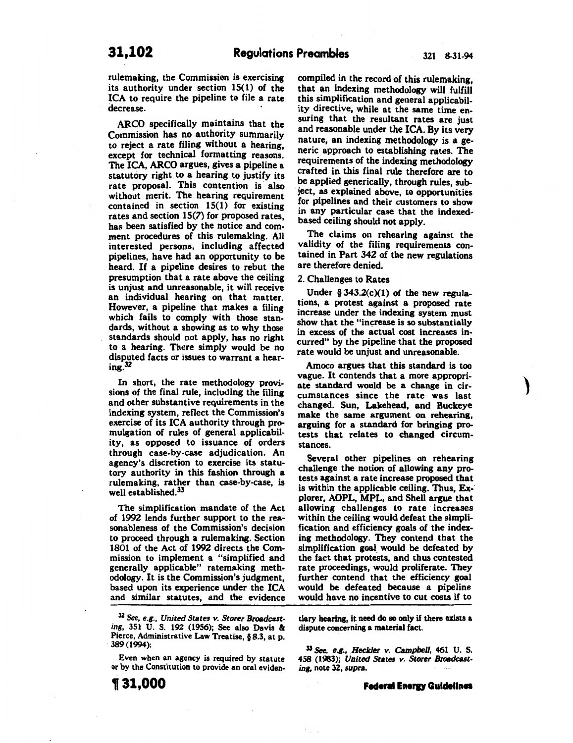rulemaking, the Commission is exercising its authority under section 15(1) of the ICA to require the pipeline to file a rate decrease.

ARCO specifically maintains that the Commission has no authority summarily to reject a rate filing without a hearing, except for technical formatting reasons. The ICA, ARCO argues, gives a pipeline a statutory right to a hearing to justify its rate proposal. This contention is also without merit. The hearing requirement contained in section 15(1) for existing rates and section 15(7) for proposed rates, has been satisfied by the notice and comment procedures of this rulemaking. All interested persons, including affected pipelines, have had an opportunity to be heard. If a pipeline desires to rebut the presumption that a rate above the ceiling is unjust and unreasonable, it will receive an individual hearing on that matter. However, a pipeline that makes a filing which fails to comply with those standards, without a showing as to why those standards should not apply, has no right to a hearing. There simply would be no disputed facts or issues to warrant a hearing.32

In short, the rate methodology provisions of the final rule, including the filing and other substantive requirements in the indexing system, reflect the Commission's exercise of its ICA authority through promulgation of rules of general applicability, as opposed to issuance of orders through case-by-case adjudication. An agency's discretion to exercise its statutory authority in this fashion through a rulemaking, rather than case-by-case, is well established.<sup>33</sup>

The simplification mandate of the Act of 1992 lends further support to the reasonableness of the Commission's decision to proceed through a rulemaking. Section 1801 of the Act of 1992 directs the Commission to implement a "simplified and generally applicable" ratemaking methodology. It is the Commission's judgment, based upon its experience under the ICA and similar statutes, and the evidence

Even when an agency is required by statute or by the Constitution to provide an oral evidencompiled in the record of this rulemaking, that an indexing methodology will fulfill this simplification and general applicability directive, while at the same time ensuring that the resultant rates are just and reasonable under the ICA. By its very nature, an indexing methodology is a generic approach to establishing rates. The requirements of the indexing methodology crafted in this final rule therefore are to be applied generically, through rules, subject, as explained above, to opportunities for pipelines and their customers to show in any particular case that the indexedbased ceiling should not apply.

The claims on rehearing against the validity of the filing requirements contained in Part 342 of the new regulations are therefore denied.

#### 2. Challenges to Rates

Under  $§ 343.2(c)(1)$  of the new regulations, a protest against a proposed rate increase under the indexing system must show that the "increase is so substantially in excess of the actual cost increases incurred" by the pipeline that the proposed rate would be unjust and unreasonable.

Amoco argues that this standard is too vague. It contends that a more appropriate standard would be a change in circumstances since the rate was last changed. Sun, Lakehead, and Buckeye make the same argument on rehearing, arguing for a standard for bringing protests that relates to changed circumstances.

Several other pipelines on rehearing challenge the notion of allowing any protests against a rate increase proposed that is within the applicable ceiling. Thus, Explorer, AOPL, MPL, and Shell argue that allowing challenges to rate increases within the ceiling would defeat the simplification and efficiency goals of the indexing methodology. They contend that the simplification goal would be defeated by the fact that protests, and thus contested rate proceedings, would proliferate. They further contend that the efficiency goal would be defeated because a pipeline would have no incentive to cut costs if to

tiary hearing, it need do so only if there exists a dispute concerning a material fact.

<sup>33</sup> See, *e.g.*, *Heckler v. Campbell*, 461 U.S. 458 (1983); *United Sutes v. Storer Broadcast·*  ing, note 32, supra.

<sup>&</sup>lt;sup>32</sup> See, e.g., United States v. Storer Broadcasting, 351 U. S. 192 (1956); See also Davis & Pierce, Administrative Law Treatise, § 8.3, at p. 389(1994):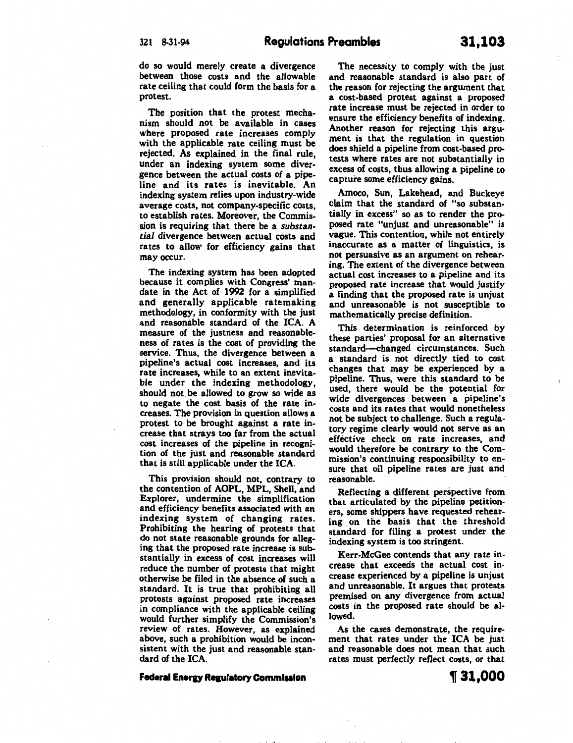do so would merely create a divergence between those costs and the allowable rate ceiling that could form the basis for a protest.

The position that the protest mechanism should not be available in cases where proposed rate increases comply with the applicable rate ceiling must be rejected. As explained in the final rule, under an indexing system some divergence between the actual costs of a pipeline and its rates is inevitable. An indexing system relies upon industry-wide average costs, not company-specific costs to establish rates. Moreover, the Commis~ sion is requiring that there be a *substantial* divergence between actual costs and rates to allow for efficiency gains that may occur.

The indexing system has been adopted because it complies with Congress' mandate in the Act of 1992 for a simplified and generally applicable ratemaking methodology, in conformity with the just and reasonable standard of the ICA. A measure of the justness and reasonableness of rates is the cost of providing the service. Thus, the divergence between a pipeline's actual cost increases, and its rate increases, while to an extent inevitable under the indexing methodology, should not. be allowed to grow so wide as to negate the cost basis of the rate increases. The provision in question allows a protest to be brought against a rate increase that strays too far from the actual cost increases of the pipeline in recognition of the just and reasonable standard that is still applicable under the ICA.

This provision should not, contrary to the contention of AOPL, MPL, Shell, and Explorer, undermine the simplification and efficiency benefits associated with an indexing system of changing rates. Prohibiting the hearing of protests that *do* not state reasonable grounds for alleging that the proposed rate increase is substantially in excess of cost increases will reduce the number of protests that might otherwise be filed in the absence of such a standard. It is true that prohibiting all protests against proposed rate increases in compliance with the applicable ceiling would further simplify the Commission's review of rates. However, as explained above, such a prohibition would be inconsistent with the just and reasonable standard of the ICA.

The necessity to comply with the just and reasonable standard is also part of the reason for rejecting the argument that a cost-based protest against a proposed rate increase must be rejected in order to ensure the efficiency benefits of indexing. Another reason for rejecting this argument is that the regulation in question does shield a pipeline from cost-based protests where rates are not substantially in excess of costs, thus allowing a pipeline to capture some efficiency gains.

Amoco, Sun, Lakehead, and Buckeye claim that the standard of "so substantially in excess" so as to render the proposed rate "unjust and unreasonable" is vague. This contention, while not entirely inaccurate as a matter of linguistics, is not persuastve as an argument on rehearing. The extent of the divergence between actual cost increases to a pipeline and its proposed rate increase that would justify a finding that the proposed rate is unjust and unreasonable is not susceptible to mathematically precise definition.

This determination is reinforced by these parties' proposal for an alternative standard--changed circumstances. Such a standard is not directly tied to cost changes that may be experienced by a pipeline. Thus, were this standard to be used, there would be the potential for wide divergences between a pipeline's costs and its rates that would nonetheless not be subject to challenge. Such a regulatory regime clearly would not serve as an effective check on rate increases, and would therefore be contrary to the Commission's continuing responsibility to ensure that oil pipeline rates are just and reasonable.

Reflecting a different perspective from that articulated by the pipeline petitioners, some shippers have requested rehearing on the basis that the threshold standard for filing a protest under the indexing system is too stringent.

Kerr-McGee contends that any rate increase that exceeds the actual cost increase experienced by a pipeline is unjust and unreasonable. It argues that protests premised on any divergence from actual costs in the proposed rate should be allowed.

As the cases demonstrate, the requirement that rates under the ICA be just and reasonable does not mean that such rates must perfectly reflect costs, or that

'~ lo I "'

## **Federal Energy Regulatory Commission**

, **31,000**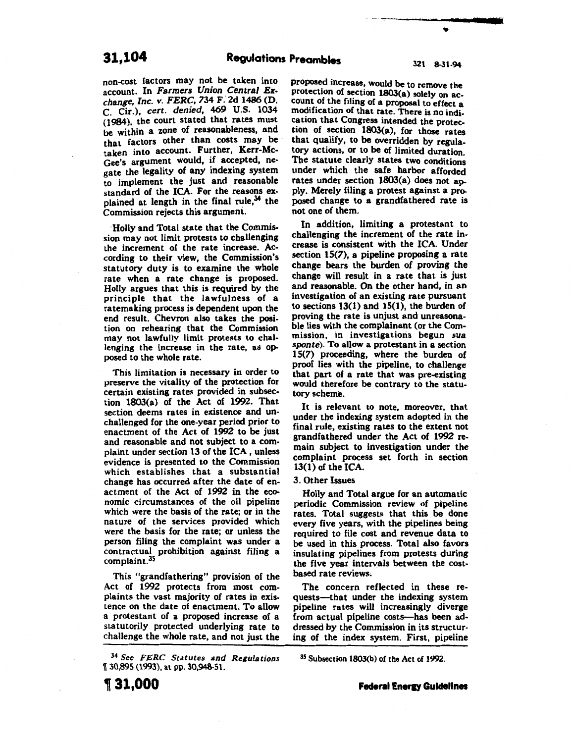non-cost factors may not be taken into account. In *Farmers Union Central Exchange, Inc. v. FERC,* 734 F.' 2d 1486 (D. c. Cir.), *cert. denied,* 469 U.S. 1034 (1984), the court stated that rates must be within a zone of reasonableness, and that factors other than costs may be taken into account. Further, Kerr-Mc-Gee's argument would, if accepted, negate the legality of any indexing system to implement the just and reasonable standard of the ICA. For the reasons explained at length in the final rule, $34$  the Commission rejects this argument.

·Holly and Total state that the Commission may not limit protests to challenging the increment of the rate increase. According to their view, the Commission's statutory duty is to examine the whole rate when a rate change is proposed. Holly argues that this is required by the principle that the lawfulness of· a ratemaking process is dependent upon the end result. Chevron also takes the position on rehearing that the Commission may not lawfully limit protests to challenging the increase in the rate, as opposed to the whole rate.

This limitation is necessary in order to preserve the vitality of the protection for certain existing rates provided in subsection 1803(a) of the Act of 1992. That section deems rates in existence and unchallenged for the one-year period prior to enactment of the Act of 1992 to be just and reasonable and not subject to a complaint under section 13 of the ICA, unless evidence is presented to the Commission which establishes that a substantial change has occurred after the date of enactment of the Act of 1992 in the economic circumstances of the oil pipeline which were the basis of the rate; or in the nature of the services provided which were the basis for the rate; or unless the person filing the complaint was under a contractual prohibition against filing a complaint.35

This "grandfathering" provision of the Act of 1992 protects from most complaints the vast majority of rates in existence on the date of enactment. To allow a protestant of a proposed increase of a statutorily protected underlying rate to challenge the whole rate, and not just the

<sup>34</sup>*See FERC Statutes and Regulations*  <sup>~</sup>30,895 (1993), at pp. 30,948-51.

•

proposed increase, would be to remove the protection of section 1803(a) solely on account of the filing of a proposal to effect a modification of that rate. There is no indication that Congress intended the protection of section 1803(a), for those rates that qualify, to be overridden by regulatory actions, or to be of limited duration. The statute clearly states two conditions under which the safe harbor afforded rates under section 1803(a) does not apply. Merely filing a protest against a proposed change to a grandfathered rate is not one of them.

In addition, limiting a protestant to challenging the increment of the rate increase is consistent with the ICA. Under section 15(7), a pipeline proposing a rate change bears the burden of proving the change will result in a rate that is just and reasonable. On the other band, in an investigation of an existing rate pursuant to sections 13(1) and 15(1), the burden of proving the rate is unjust and unreasonable lies with the complainant (or the Commission, in investigations begun *sua*  sponte). To allow a protestant in a section 15(7) proceeding, where the burden of proof lies with the pipeline, to challenge that part of a rate that was pre-existing would therefore be contrary to the statutory scheme.

It is relevant to note, moreover, that under the indexing system adopted in the final rule, existing rates to the extent not grandfathered under the Act of 1992 remain subject to investigation under the complaint process set forth in section 13(1) of the ICA.

#### 3. Other Issues

Holly and Total argue for an automatic periodic Commission review of pipeline rates. Total suggests that this be done every five years, with the pipelines being required to file cost and revenue data to be used in this process. Total also favors insulating pipelines from protests during the five year intervals between the costbased rate reviews.

The concern reflected in these requests---that under the indexing system pipeline rates will increasingly diverge from actual pipeline costs—has been addressed by the Commission in its structuring of the index system. First, pipeline

35 Subsection 1803(b) of the Act of 1992.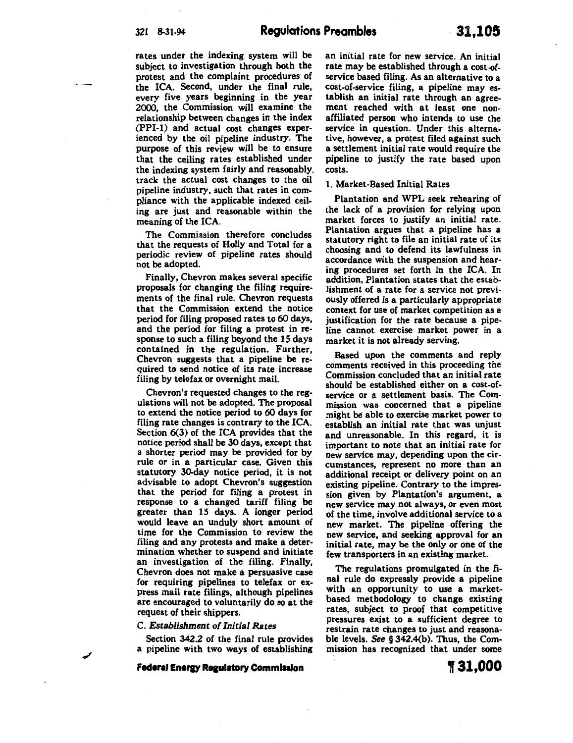rates under the indexing system will be subject to investigation through both the protest and the complaint procedures of the ICA. Second, under the final rule, every five years beginning in the year 2000, the Commission will examine the relationship between changes in the index (PPI-1) and actual cost changes experienced by the oil pipeline industry. The purpose of this review will be to ensure that the ceiling rates established under the indexing system fairly and reasonably. track the actual cost changes to the oil pipeline industry, such that rates in compliance with the applicable indexed ceiling are just and reasonable within the meaning of the ICA.

The Commission therefore concludes that the requests of Holly and Total for a periodic review of pipeline rates should not be adopted.

Finally, Chevron makes several specific proposals for changing the filing requirements of the final rule. Chevron requests that the Commission extend the notice period for filing proposed rates to 60 days, and the period for filing a protest in response to such a filing beyond the 15 days contained in the regulation. Further, Chevron suggests that a pipeline be required to send notice of its rate increase filing by telefax or overnight mail.

Chevron's requested changes to the regulations will not be adopted. The proposal to extend the notice period to 60 days for filing rate changes is contrary to the ICA. Section 6(3) of the ICA provides that the notice period shall be 30 days, except that a shorter period may be provided for by rule or in a particular case. Given this statutory 30-day notice period, it is not advisable to adopt Chevron's suggestion that the period for filing a protest in response to a changed tariff filing be greater than 15 days. A longer period would leave an unduly short amount of time for the Commission to review the filing and any protests and make a determination whether to suspend and initiate an investigation of the filing. Finally, Chevron does not make a persuasive case for requiring pipelines to telefax or express mail rate filings, although pipelines are encouraged to voluntarily do so at the request of their shippers.

#### C. *Establishment of Initial Rates*

Section 342.2 of the final rule provides a pipeline with two ways of establishing

**Federal Energy Regulatory Commission** 

an initial rate for new service. An initial rate may be established through a cost-ofservice based filing. As an alternative to a cost-of-service filing, a pipeline may establish an initial rate through an agreement reached with at least one nonaffiliated person who intends to use the service in question. Under this alternative, however, a protest filed against such a settlement initial rate would require the pipeline to justify the rate based upon costs.

## 1. Market-Based Initial Rates

Plantation and WPL seek rehearing of the lack of a provision for relying upon market forces to justify an initial rate. Plantation argues that a pipeline has a statutory right to file an initial rate of its choosing and to defend its lawfulness in accordance with the suspension and hearing procedures set forth in the ICA. In addition, Plantation states that the establishment of a rate for a service not previously offered is a particularly appropriate context for use of market competition as a justification for the rate because a pipeline cannot exercise market power in a market it is not already serving.

Based upon the comments and reply comments received in this proceeding the Commission concluded that an initial rate should be established either on a cost-ofservice or a settlement basis. The Commission was concerned that a pipeline might be able to exercise market power to establish an initial rate that was unjust and unreasonable. In this regard, it is important to note that an initial rate for new service may, depending upon the circumstances, represent no more than an additional receipt or delivery point on an existing pipeline. Contrary to the impression given by Plantation's argument, a new service may not always, or even most of the time, involve additional service to a new market. The pipeline offering the new service, and seeking approval for an initial rate, may be the only or one of the few transporters in an existing market.

The regulations promulgated in the fi. nal rule do expressly provide a pipeline with an opportunity to use a marketbased methodology to change existing rates, subject to proof that competitive pressures exist to a sufficient degree to restrain rate changes to just and reasonable levels. See § 342.4(b). Thus, the Commission bas recognized that under some

, **31,000**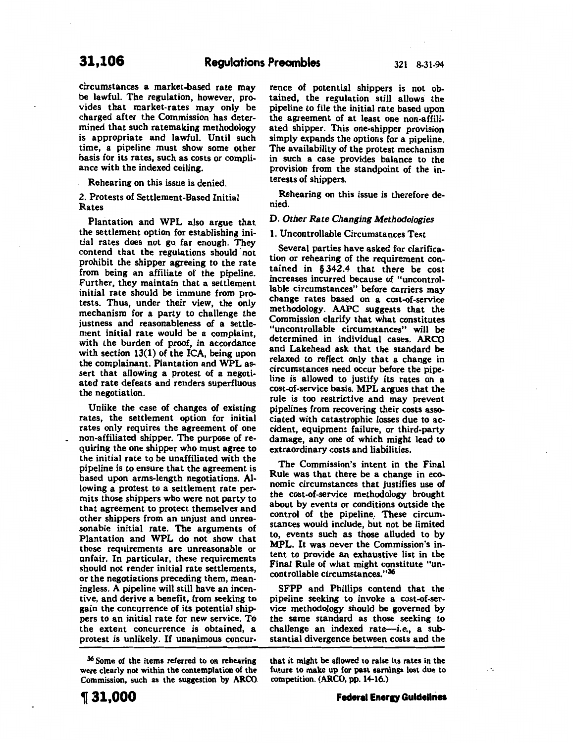circumstances a market-based rate may be lawful. The regulation, however, provides that market-rates may only be charged after the Commission has determined that such ratemaking methodology is appropriate and lawful. Until such time, a pipeline must show some other basis for its rates, such as costs or compliance with the indexed ceiling.

Rehearing on this issue is denied.

## 2. Protests of Settlement-Based Initial Rates

Plantation and WPL also argue that the settlement option for establishing initial rates does not go far enough. They contend that the regulations should not prohibit the shipper agreeing to the rate from being an affiliate of the pipeline. Further, they maintain that a settlement initial rate should be immune from protests. Thus, under their view, the only mechanism for a party to challenge the justness and reasonableness of a settlement initial rate would be a complaint, with the burden of proof, in accordance with section 13(1) of the ICA, being upon the complainant. Plantation and WPL assert that allowing a protest of a negotiated rate defeats and renders superfluous the negotiation.

Unlike the case of changes of existing rates, the settlement option for initial rates only requires the agreement of one non-affiliated shipper. The purpose of requiring the one shipper who must agree to the initial rate to be unaffiliated with the pipeline is to ensure that the agreement is based upon arms-length negotiations. Allowing a protest to a settlement rate permits those shippers who were not party to that agreement to protect themselves and other shippers from an unjust and unreasonable initial rate. The arguments of Plantation and WPL do not show that these requirements are unreasonable or unfair. In particular, these requirements should not render initial rate settlements, or the negotiations preceding them, meaningless. A pipeline will still have an incentive, and derive a benefit, from seeking to gain the concurrence of its potential shippers to an initial rate for new service. To the extent concurrence is obtained, a protest is unlikely. If unanimous concurrence of potential shippers is not obtained, the regulation still allows the pipeline to file the initial rate based upon the agreement of at least one non-affiliated shipper. This one-shipper provision simply expands the options for a pipeline. The availability of the protest mechanism in such a case provides balance to the provision from the standpoint of the interests of shippers.

Rehearing on this issue is therefore denied.

#### D. *Other* Rate *Changing Methodologies*

1. Uncontrollable Circumstances Test

Several parties have asked for clarification or rehearing of the requirement contained in § 342.4 that there be cost increases incurred because of "uncontrollable circumstances" before carriers may change rates based on a cost-of-service methodology. AAPC suggests that the Commission clarify that what constitutes "uncontrollable circumstances" will be determined in individual cases. ARCO and Lakehead ask that the standard be relaxed to reflect only that a change in circumstances need occur before the pipeline is allowed to justify its rates on a cost-of-service basis. MPL argues that the rule is too restrictive and may prevent pipelines from recovering their costs associated with catastrophic losses due to accident, equipment failure, or third-party damage, any one of which might lead to extraordinary costs and liabilities.

The Commission's intent in the Final Rule was that there be a change in economic circumstances that justifies use of the cost-of-service methodology brought about by events or conditions outside the control of the pipeline. These circumstances would include, but not be limited to, events such as those alluded to by MPL. It was never the Commission's intent to provide an exhaustive list in the Final Rule of what might constitute "uncontrollable circumstances."36

SFPP and Phillips contend that the pipeline seeking to invoke a cost-of-service methodology should be governed by the same standard as those seeking to challenge an indexed rate- $i.e.,$  a substantial divergence between costs and the

<sup>36</sup>Some of the items referred to on rehearing were clearly not within the contemplation of the Commission, such as the suggestion by ARCO that it might be allowed to raise its rates in the future to make up for past earnings lost due to competition. (ARCO, pp. 14-16.)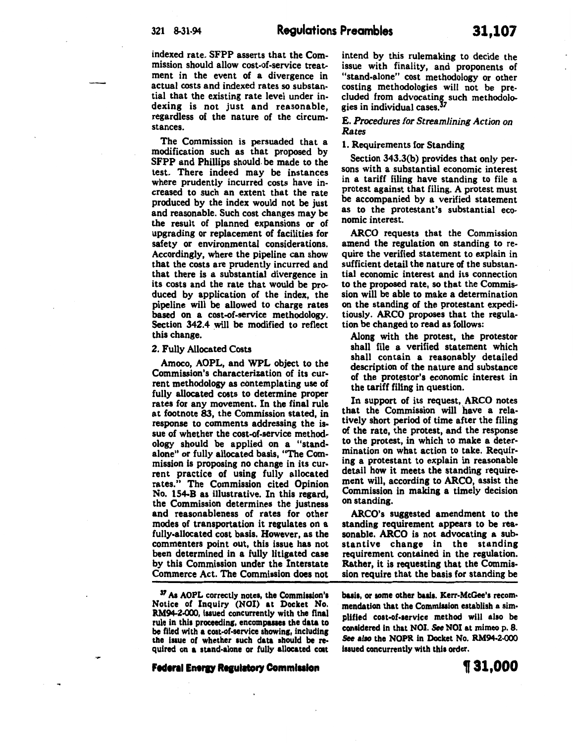indexed rate. SFPP asserts that the Commission should allow cost-of-service treatment in the event of a divergence in actual costs and indexed rates so substantial that the existing rate level under indexing is not just and reasonable, regardless of the nature of the circumstances.

The Commission is persuaded that a modification such as that proposed by SFPP and Phillips should. be made to the test. There indeed may be instances where prudently incurred costs have increased to such an extent that the rate produced by the index would not be just and reasonable. Such cost changes may be the result of planned expansions or of upgrading or replacement of facilities for safety or environmental considerations. Accordingly, where the pipeline can show that the costs are prudently incurred and that there is a substantial divergence in its costs and the rate that would be produced by application of the index, the pipeline will be allowed to charge rates based on a cost-of-service methodology. Section 342.4 will be modified to reflect this change.

#### 2. Fully Allocated Costs

Amoco, AOPL, and WPL object to the Commission's characterization of its current methodology as contemplating use of fully allocated costs to determine proper rates for any movement. In the final rule at footnote 83, the Commission stated, in response to comments addressing the issue of whether the cost-of-service method· ology should be applied on a "standalone" or fully allocated basis, "The Commission is proposing no change in its current practice of using fully allocated rates." The Commission cited Opinion No. 154-B as illustrative. In this regard, the Commission determines the justness and reasonableness of rates for other modes of transportation it regulates on a fully-allocated cost basis. However, as the commenters point out, this issue has not been determined in a fully litigated case by this Commission under the Interstate Commerce Act. The Commission does not

<sup>37</sup> As AOPL correctly notes, the Commission's Notice of Inquiry (NOI) at Docket No. RM94-2-000, issued concurrently with the final rule in this proceeding, encompasses the data to be filed with a cost-of-service showing, including the issue of whether such data should be required on a stand-alone or fully allocated coat intend by this rulemaking to decide the issue with finality, and proponents of "stand-alone" cost methodology or other costing methodologies will not be precluded from advocating such methodologies in individual cases.<sup>37</sup>

## E. *Procedures for Streamlining Action on Rates*

## 1. Requirements for Standing

Section 343.3(b) provides that only persons with a substantial economic interest in a tariff filing have standing to file a protest against that filing. A protest must be accompanied by a verified statement as to the protestant's substantial economic interest.

ARCO requests that the Commission amend the regulation on standing to require the verified statement to explain in sufficient detail the nature of the substantial economic interest and its connection to the proposed rate, so that the Commission will be able to make a determination on the standing of the protestant expeditiously. ARCO proposes that the regulation be changed to read as follows:

Along with the protest, the protestor shall file a verified statement which shall contain a reasonably detailed description of the nature and substance of the protestor's economic interest in the tariff filtng in question.

In support of its request, ARCO notes that the Commission will have a rela· tively short period of time after the filing of the rate, the protest, and the response to the protest, in which to make a deter· mination on what action to take. Requir· ing a protestant to explain in reasonable detail how it meets the standing require· ment will, according to ARCO, assist the Commission in making a timely decision on standing.

ARCO's suggested amendment to the standing requirement appears to be rea· sonable. ARCO is not advocating a substantive change in the standing requirement contained in the regulation. Rather, it is requesting that the Commission require that the basis for standing be

basis, or some other basis. Kerr-McGee's recommendation that the Commission establish a simplified coat-of-service method will also be conaidered In that NOI. See NOI at mimeo p. 8. See also the NOPR in Docket No. RM94-2-000 issued concurrently with this order.

Federal Energy Regulatory Commission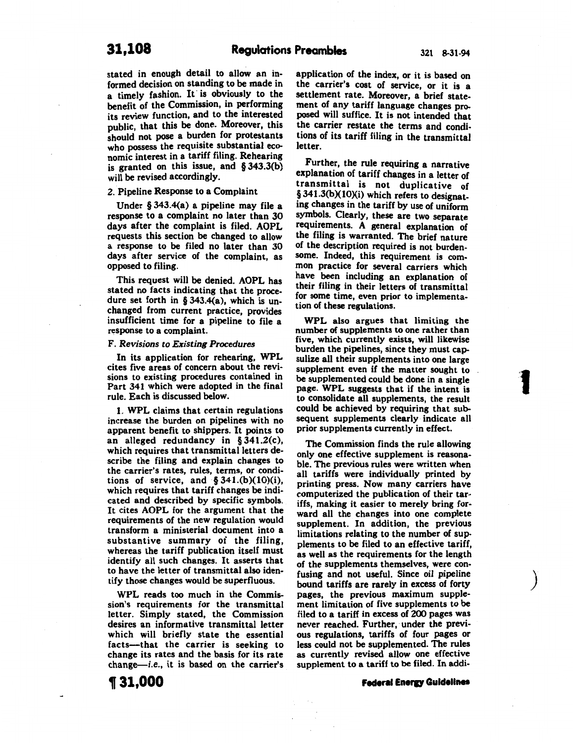stated in enough detail to allow an informed decision on standing to be made in a timely fashion. It is obviously to the benefit of the Commission, in performing its review function, and to the interested public, that this be done. Moreover, this should not pose a burden for protestants who possess the requisite substantial economic interest in a tariff filing. Rehearing is granted on this issue, and § 343.3(b) will be revised accordingly.

#### 2. Pipeline Response to a Complaint

Under § 343.4(a) a pipeline may file a response to a complaint no later than 30 days after the complaint is filed. AOPL requests this section be changed to allow a response to be filed no later than 30 days after service of the complaint, as opposed to filing.

This request will be denied. AOPL has stated no facts indicating that the procedure set forth in § 343.4(a), which is unchanged from current practice, provides insufficient time for a pipeline to file a response to a complaint.

#### F. *Revisions to Existing Procedures*

In its application for rehearing, WPL cites five areas of concern about the revisions to existing procedures contained in Part 341 which were adopted in the final rule. Each is discussed below.

1. WPL claims that certain regulations increase the burden on pipelines with no apparent benefit to shippers. It points to an alleged redundancy in § 341.2(c), which requires that transmittal letters describe the filing and explain changes to the carrier's rates, rules, terms, or conditions of service, and  $§ 341.(b)(10)(i)$ , which requires that tariff changes be indicated and described by specific symbols. It cites AOPL for the argument that the requirements of the new regulation would transform a ministerial document into a substantive summary of the filing, whereas the tariff publication itself must identify all such changes. It asserts that to have the letter of transmittal also identify those changes would be superfluous.

WPL reads too much in the Commission's requirements for the transmittal letter. Simply stated, the Commission desires an informative transmittal letter which will briefly state the essential facts-that the carrier is seeking to change its rates and the basis for its rate  $change$ -i.e., it is based on the carrier's application of the index, or it is based on the carrier's cost of service, or it is a settlement rate. Moreover, a brief statement of any tariff language changes proposed will suffice. It is not intended that the carrier restate the terms and conditions of its tariff filing in the transmittal letter.

Further, the rule requiring a narrative explanation of tariff changes in a letter of transmittal is not duplicative of § 341.3(b)(10)(i) which refers to designating changes in the tariff by use of uniform symbols. Clearly, these are two separate requirements. A general explanation of the filing is warranted. The brief nature of the description required is not burdensome. Indeed, this requirement is common practice for several carriers which have been including an explanation of their filing in their letters of transmittal for some time, even prior to implementation of these regulations.

WPL also argues that limiting the number of supplements to one rather than five, which currently exists, will likewise burden the pipelines, since they must capsulize all their supplements into one large supplement even if the matter sought to be supplemented could be done in a single page. WPL suggests that if the intent is to consolidate all supplements, the result could be achieved by requiring that subsequent supplements clearly indicate all prior supplements currently in effect.

.•

 $\overline{1}$ 

 $\big)$ 

The Commission finds the rule allowing only one effective supplement is reasonable. The previous rules were written when all tariffs were individually printed by printing press. Now many carriers have computerized the publication of their tariffs, making it easier to merely bring forward all the changes into one complete supplement. In addition, the previous limitations relating to the number of supplements to be filed to an effective tariff, as well as the requirements for the length of the supplements themselves, were confusing and not useful. Since *oil* pipeline bound tariffs are rarely in excess of forty pages, the previous maximum supplement limitation of five supplements to be filed to a tariff in excess of 200 pages was never reached. Further, under the previous regulations, tariffs of four pages or less could not be supplemented. The rules as currently revised allow one effective supplement to a tariff to be filed. In addi-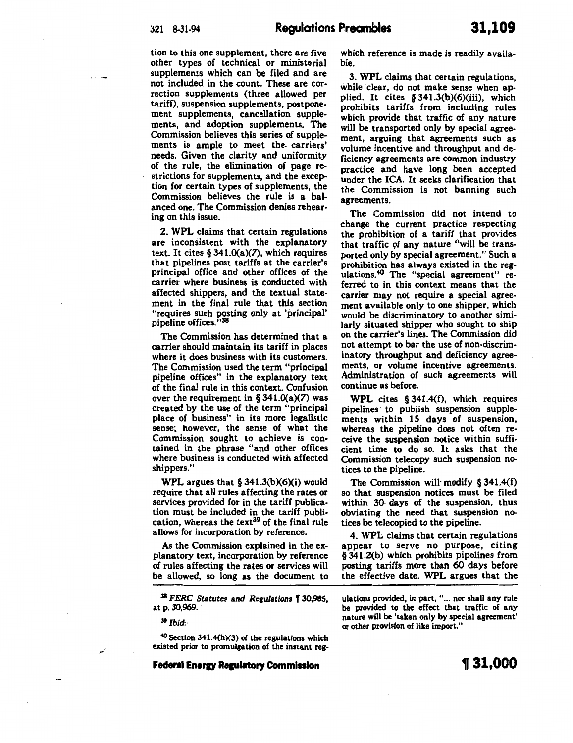tion to this one supplement, there are five other types of technical or ministerial supplements which can be filed and are not included in the count. These are correction supplements (three allowed per tariff), suspension supplements, postponement supplements, cancellation supplements, and adoption supplements. The Commission believes this series of supplements is ample to meet the. carriers' needs. Given the clarity and uniformity of the rule, the elimination of page restrictions for supplements, and the exception for certain types of supplements, the Commission believes the rule is a balanced one. The Commission denies rehearing on this issue.

2. WPL claims that certain regulations are inconsistent with the explanatory text. It cites  $\S 341.0(a)(7)$ , which requires that pipelines post tariffs at the carrier's principal office and other offices of the carrier where business is conducted with affected shippers, and the textual statement in the final rule that this section "requires such posting only at 'principal' pipeline offices. "38

The Commission has determined that a carrier should maintain its tariff in places where it does business with its customers. The Commission used the term "principal pipeline offices" in the explanatory text of the final rule in this context. Confusion over the requirement in §  $341.0(a)(7)$  was created by the use of the term "principal place of business" in its more legalistic sense; however, the sense of what the Commission sought to achieve is contained in the phrase "and other offices where business is conducted with affected shippers."

WPL argues that  $§$  341.3(b)(6)(i) would require that all rules affecting the rates or services provided for in the tariff publication must be included in the tariff publication, whereas the text<sup>39</sup> of the final rule allows for incorporation by reference.

As the Commission explained in the explanatory text, incorporation by reference of rules affecting the rates or services will be allowed, so long as the document to

<sup>38</sup>*FERC Statutes* and *Regulations* f 30,985, at p. 30,969.

39 *Ibid.·* 

 $40$  Section 341.4(h)(3) of the regulations which existed prior to promulgation of the instant reg-

**Federal Energy Regulatory Commission** 

which reference is made is readily available.

3. WPL claims that certain regulations, while clear, do not make sense when applied. It cites § 341.3(b)(6)(iii), which prohibits tariffs from including rules which provide that traffic of any nature will be transported only by special agreement, arguing that agreements such as volume incentive and throughput and deficiency agreements are common industry practice and have long been accepted under the ICA. It seeks clarification that the Commission is not banning such agreements.

The Commission did not intend to change the current practice respecting the prohibition of a tariff that provides that traffic of any nature "will be transported only by special agreement." Such a prohibition has always existed in the regulations.40 The "special agreement" referred to in this context means that the carrier may not require a special agreement available only to one shipper, which would be discriminatory to another similarly situated shipper who sought to ship on the carrier's lines. The Commission did not attempt to bar the use of non-discriminatory throughput and deficiency agreements, or volume incentive agreements. Administration of such agreements will continue as before.

WPL cites § 341.4(f), which requires pipelines to publish suspension supplements within 15 days of suspension, whereas the pipeline does not often receive the suspension notice within sufficient time to do so. It asks that the Commission telecopy such suspension notices to the pipeline.

The Commission will· modify § 341.4(f) so that suspension notices must be filed within 30· days of the suspension, thus obviating the need that suspension notices be telecopied to the pipeline.

4. WPL claims that certain regulations appear to serve no purpose, citing § 341.2(b) which prohibits pipelines from posting tariffs more than 60 days before the effective date. WPL argues that the

ulations provided, in part, "... nor shall any rule be provided to. the effect that traffic of any nature will be 'taken only by special agreement' or other provision of like import."

~31,000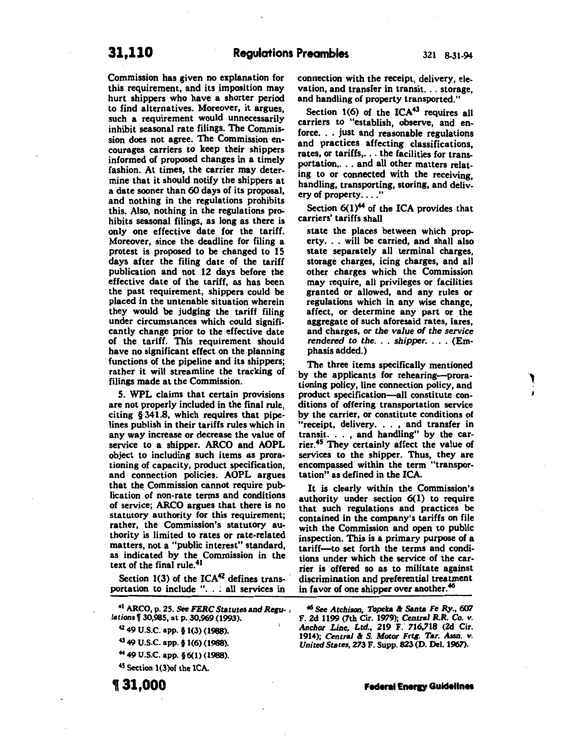Commission has given no explanation for this requirement, and its imposition may hurt shippers who have a shorter period to find alternatives. Moreover, it argues, such a requirement would unnecessarily inhibit seasonal rate filings. The Commission does not agree. The Commission encourages carriers to keep their shippers informed of proposed changes in a timely fashion. At times, the carrier may determine that it should notify the shippers at a date sooner than 60 days of its proposal, and nothing in the regulations prohibits this. Also, nothing in the regulations prohibits seasonal filings, as long as there is only one effective date for the tariff. Moreover, since the deadline for filing a protest is proposed to be changed to 15 days after the filing date of the tariff publication and not 12 days before the effective date of the tariff, as has been the past requirement, shippers could be placed in the untenable situation wherein they would be judging the tariff filing under circumstances which could significantly change prior to the effective date of the tariff. This requirement should have no significant effect on the planning functions of the pipeline and its shippers; rather it will streamline the tracking of filings made at the Commission.

5. WPL claims that certain provisions are not properly included in the final rule, citing § 341.8, which requires that pipelines publish in their tariffs rules which in any way increase or decrease the value of service to a shipper. ARCO and AOPL object to including such items as prorationing of capacity, product specification, and connection policies. AOPL argues that the Commission cannot require publication of non-rate terms and conditions of service; ARCO argues that there is no statutory authority for this requirement; rather, the Commission's statutory authority is limited to rates or rate-related matters, not a "public interest" standard, as indicated by the Commission in the text of the final rule.41

Section  $1(3)$  of the ICA<sup>42</sup> defines transportation to include ". . ; all services in

41 ARCO, p. 25. See *FERC Statutes and Re6U-* , *lations* 130,985, at p. 30,969 (1993).

•z 49 U.S.C. app. § 1(3) (1988).

43 49 U.S.C. app. § 1(6) (1988).

44 49 U.S.C. app. §6(1) (1988).

45 Section 1(3)of the ICA.

connection with the receipt, delivery, elevation, and transfer in transit. . . storage, and handling of property transported."

Section  $1(6)$  of the ICA<sup>43</sup> requires all carriers to "establish, observe, and enforce. . . just and reasonable regulations and practices affecting classifications, rates, or tariffs, ... the facilities for transportation,. . . and all other matters relating to or connected with the receiving, handling, transporting, storing, and delivery of property...."

Section  $6(1)^{44}$  of the ICA provides that carriers' tariffs shall

state the places between which property. . . will be carried, and shall also state separately all terminal charges, storage charges, icing charges, and all other charges which the Commission may require, all privileges or facilities granted or allowed, and any rules or regulations which in any wise change, affect, or determine any part or the aggregate of such aforesaid rates, fares, and charges, *or the value of the service rendered to the.* . . *shipper.* . . . (Emphasis added.)

The three items specifically mentioned by the applicants for rehearing-prorationing policy, line connection policy, and product specification-all constitute conditions of offering transportation service by the carrier, or constitute conditions of "receipt, delivery. . . , and transfer in transit. . . , and handling" by the carrier.45 They certainly affect the value of services to the shipper. Thus, they are encompassed within the term "transportation" as defined in the ICA.

It is clearly within the Commission's authority under section 6(1) to require that such regulations and practices be contained in the company's tariffs on file with the Commission and open to public inspection. This is a primary purpose of a tariff-to set forth the terms and conditions under which the service of the carrier is offered so as to militate against discrimination and preferential treatment in favor of one shipper over another.<sup>46</sup>

<sup>46</sup> See Atchison, Topeka & Santa Fe Ry., 607 F. 2d 1199 (7th Cir. 1919); *Central R.R. Co. v. Anchor Line, Ltd., 219 F. 716,718 (2d Cir. 1914); Central & S. Motor Frtg. Tar. Assn. v.* 1914); *Central* & *S. Motor Frtg. Tar. Assn. v. United States,* 273 F. Supp. 823 (D. Del. 1961).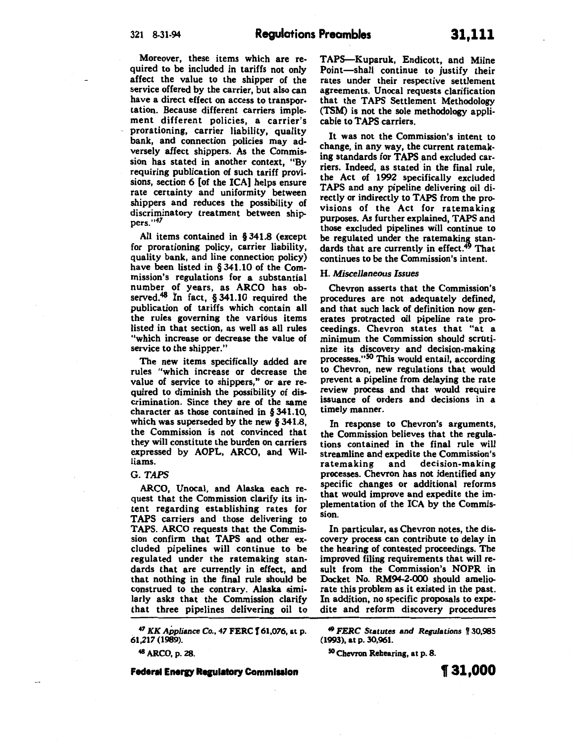Moreover, these items which are required to be included in tariffs not only affect the value to the shipper of the service offered by the carrier, but also can have a direct effect on access to transportation. Because different carriers implement different policies, a carrier's prorationing, carrier liability, quality bank, and connection policies may adversely affect shippers. As the Commission has stated in another context, "By requiring publication of such tariff provisions, section 6 [of the ICA] helps ensure rate certainty and uniformity between shippers and reduces the possibility of discriminatory treatment between ship-<br>pers."<sup>47</sup>

All items contained in § 341.8 (except for prorationing policy, carrier liability, quality bank, and line connection policy) have been listed in § 341.10 of the Commission's regulations for a substantial number of years, as ARCO has observed.<sup>48</sup> In fact, § 341.10 required the publication of tariffs which contain all the rules governing the various items listed in that section, as well as all rules "which increase or decrease the value of service to the shipper.'

The new items specifically added are rules "which increase or decrease the value of service to shippers," or are required to diminish the possibility of discrimination. Since they are of the same character as those contained in § 341.10, which was superseded by the new § 341.8, the Commission is not convinced that they will constitute the burden on carriers expressed by AOPL, ARCO, and Williams.

#### G. *TAPS*

ARCO, Unocal, and Alaska each request that the Commission clarify its intent regarding establishing rates for TAPS carriers and those delivering to TAPS. ARCO requests that the Commission confirm that TAPS and other excluded pipelines will continue to be regulated under the ratemaking standards that are currently in effect, and that nothing in the final rule should be construed to the contrary. Alaska similarly asks that the Commission clarify that three pipelines delivering oil to

. 47 *KK Appliance* Co., 47 FERC f 61,076, at p. 61,217 (1989).

<sup>48</sup>ARCO, p. 28.

**Federal Energy Regulatory Commission** 

TAP5-Kuparuk, Endicott, and Milne Point-shall continue to justify their rates under their respective settlement agreements. Unocal requests clarification that the TAPS Settlement Methodology (TSM) is not the sole methodology applicable to TAPS carriers.

It was not the Commission's intent to change, in any way, the current ratemaking standards for TAPS and excluded carriers. Indeed, as stated in the final rule, the Act of 1992 specifically excluded TAPS and any pipeline delivering oil directly or indirectly to TAPS from the provisions of the Act for ratemaking purposes. As further explained, TAPS and those excluded pipelines will continue to be regulated under the ratemaking standards that are currently in effect.<sup>49</sup> That continues to be the Commission's intent.

## H. *Miscellaneous Issues*

Chevron asserts that the Commission's procedures are not adequately defined, and that such lack of definition now generates protracted oil pipeline rate proceedings. Chevron states that "at a minimum the Commission should scrutinize its discovery and decision-making processes."<sup>50</sup> This would entail, according to Chevron, new regulations that would prevent a pipeline from delaying the rate review process and that would require issuance of orders and decisions in a timely manner.

In response to Chevron's arguments, the Commission believes that the regulations contained in the final rule will streamline and expedite the Commission's ratemaking and processes. Chevron has not identified any specific changes or additional reforms that would improve and expedite the implementation of the ICA by the Commission.

In particular, as Chevron notes, the discovery process can contribute to delay in the hearing of contested proceedings. The improved filing requirements that will result from the Commission's NOPR in Docket No. RM94-2-000 should ameliorate this problem as it existed in the past. In addition, no specific proposals to expedite and reform discovery procedures

<sup>49</sup>*FERC* Statutes and *Regulations* 1f 30,985 (1993), at p. 30,961.

50 Chevron Rehearing, at p. 8.

**131,000**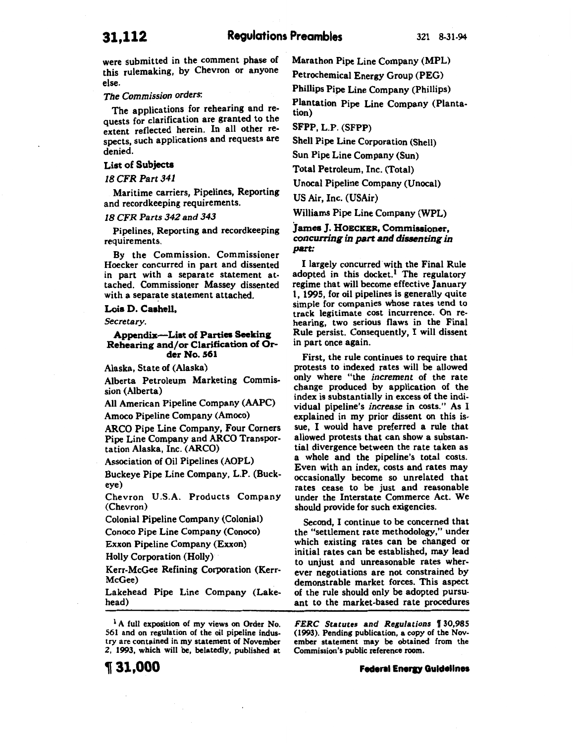were submitted in the comment phase of this rulemaking, by Chevron or anyone else.

## *The Commission orders:*

The applications for rehearing and requests for clarification are granted to the extent reflected herein. In all other respects, such applications and requests are denied.

## List of Subjects

*18 CFR Part 341* 

Maritime carriers, Pipelines, Reporting and recordkeeping requirements.

## *18 CFR Parts 342 and 343*

Pipelines, Reporting and recordkeeping requirements.

By the Commission. Commissioner Hoecker concurred in part and dissented in part with a separate statement attached. Commissioner Massey dissented with a separate statement attached.

#### Lois D. Caahell,

*Secretary.* 

#### Appendix-List of Parties Seeking Rehearing and/or Clarification of Order No. 561

Alaska, State of (Alaska)

Alberta Petroleum Marketing Commission (Alberta)

All American Pipeline Company (AAPC) Amoco Pipeline Company (Amoco)

ARCO Pipe Line Company, Four Corners Pipe Line Company and ARCO Transportation Alaska, Inc. (ARCO)

Association of Oil Pipelines (AOPL)

Buckeye Pipe Line Company, L.P. (Buckeye)

Chevron U.S.A. Products Company (Chevron)

Colonial Pipeline Company (Colonial)

Conoco Pipe Line Company (Conoco)

Exxon Pipeline Company (Exxon)

Holly Corporation (Holly)

Kerr-McGee Refining Corporation (Kerr-McGee)

Lakehead Pipe Line Company (Lakehead)

<sup>1</sup> A full exposition of my views on Order No. 561 and on regulation of the oil pipeline industry are contained in my statement of November Z, 1993, which will be, belatedly, published at

'II 31,000

Marathon Pipe Line Company (MPL)

Petrochemical Energy Group (PEG)

Phillips Pipe Line Company (Phillips)

Plantation Pipe Line Company (Plantation)

SFPP, L.P. (SFPP)

Shell Pipe Line Corporation (Shell)

Sun Pipe Line Company (Sun)

Total Petroleum, Inc. (Total)

Unocal Pipeline Company (Unocal)

US Air, Inc. (USAir)

Williams Pipe Line Company (WPL)

## James J. HOECKER, Commissioner. *concurring in part and dissenting in part:*

I largely concurred· with the Final Rule adopted in this docket.<sup>1</sup> The regulatory regime that will become effective January 1, 1995, for oil pipelines is generally quite simple for companies whose rates tend to track legitimate cost incurrence. On rehearing, two serious flaws in the Final Rule persist. Consequently, I will dissent in part once again.

First, the rule continues to require that protests to indexed rates will be allowed only where "the *increment* of the rate change produced by application of the index is substantially in excess of the individual pipeline's *increase* in costs." As I explained in my prior dissent on this issue, I would have preferred a rule that allowed protests that can show a substantial divergence between the rate taken as a whole and the pipeline's total costs. Even with an index, costs and rates may occasionally become so unrelated that rates cease to be just and reasonable under the Interstate Commerce Act. We should provide for such exigencies.

Second, I continue to be concerned that the "settlement rate methodology," under which existing rates can be changed or initial rates can be established, may lead to unjust and unreasonable rates wherever negotiations are not constrained by demonstrable market forces. This aspect of the rule should only be adopted pursuant to the market-based rate procedures

*FERC Statutes and Regulations* f 30,985 (1993). Pending publication, a copy of the November statement may be obtained from the Commission's public reference room.